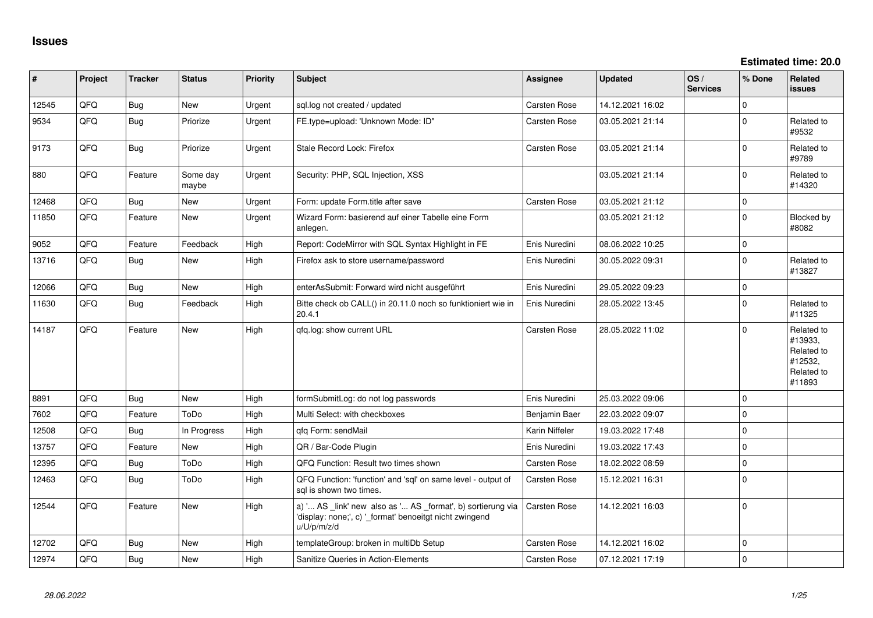**Estimated time: 20.0**

| #     | Project    | <b>Tracker</b> | <b>Status</b>     | <b>Priority</b> | <b>Subject</b>                                                                                                                        | Assignee            | <b>Updated</b>   | OS/<br><b>Services</b> | % Done      | <b>Related</b><br><b>issues</b>                                        |
|-------|------------|----------------|-------------------|-----------------|---------------------------------------------------------------------------------------------------------------------------------------|---------------------|------------------|------------------------|-------------|------------------------------------------------------------------------|
| 12545 | QFQ        | <b>Bug</b>     | New               | Urgent          | sql.log not created / updated                                                                                                         | Carsten Rose        | 14.12.2021 16:02 |                        | $\Omega$    |                                                                        |
| 9534  | <b>OFO</b> | <b>Bug</b>     | Priorize          | Urgent          | FE.type=upload: 'Unknown Mode: ID"                                                                                                    | <b>Carsten Rose</b> | 03.05.2021 21:14 |                        | $\Omega$    | Related to<br>#9532                                                    |
| 9173  | QFQ        | Bug            | Priorize          | Urgent          | Stale Record Lock: Firefox                                                                                                            | Carsten Rose        | 03.05.2021 21:14 |                        | $\mathbf 0$ | Related to<br>#9789                                                    |
| 880   | QFQ        | Feature        | Some day<br>maybe | Urgent          | Security: PHP, SQL Injection, XSS                                                                                                     |                     | 03.05.2021 21:14 |                        | $\Omega$    | Related to<br>#14320                                                   |
| 12468 | QFQ        | Bug            | <b>New</b>        | Urgent          | Form: update Form.title after save                                                                                                    | Carsten Rose        | 03.05.2021 21:12 |                        | $\mathbf 0$ |                                                                        |
| 11850 | QFQ        | Feature        | <b>New</b>        | Urgent          | Wizard Form: basierend auf einer Tabelle eine Form<br>anlegen.                                                                        |                     | 03.05.2021 21:12 |                        | $\mathbf 0$ | Blocked by<br>#8082                                                    |
| 9052  | QFQ        | Feature        | Feedback          | High            | Report: CodeMirror with SQL Syntax Highlight in FE                                                                                    | Enis Nuredini       | 08.06.2022 10:25 |                        | $\Omega$    |                                                                        |
| 13716 | QFQ        | Bug            | <b>New</b>        | High            | Firefox ask to store username/password                                                                                                | Enis Nuredini       | 30.05.2022 09:31 |                        | $\mathbf 0$ | Related to<br>#13827                                                   |
| 12066 | QFQ        | <b>Bug</b>     | <b>New</b>        | High            | enterAsSubmit: Forward wird nicht ausgeführt                                                                                          | Enis Nuredini       | 29.05.2022 09:23 |                        | $\mathbf 0$ |                                                                        |
| 11630 | QFQ        | Bug            | Feedback          | High            | Bitte check ob CALL() in 20.11.0 noch so funktioniert wie in<br>20.4.1                                                                | Enis Nuredini       | 28.05.2022 13:45 |                        | $\mathbf 0$ | Related to<br>#11325                                                   |
| 14187 | QFQ        | Feature        | <b>New</b>        | High            | qfq.log: show current URL                                                                                                             | Carsten Rose        | 28.05.2022 11:02 |                        | $\Omega$    | Related to<br>#13933,<br>Related to<br>#12532,<br>Related to<br>#11893 |
| 8891  | QFQ        | Bug            | <b>New</b>        | High            | formSubmitLog: do not log passwords                                                                                                   | Enis Nuredini       | 25.03.2022 09:06 |                        | $\Omega$    |                                                                        |
| 7602  | QFQ        | Feature        | ToDo              | High            | Multi Select: with checkboxes                                                                                                         | Benjamin Baer       | 22.03.2022 09:07 |                        | $\mathbf 0$ |                                                                        |
| 12508 | QFQ        | Bug            | In Progress       | High            | qfq Form: sendMail                                                                                                                    | Karin Niffeler      | 19.03.2022 17:48 |                        | $\mathbf 0$ |                                                                        |
| 13757 | QFQ        | Feature        | <b>New</b>        | High            | QR / Bar-Code Plugin                                                                                                                  | Enis Nuredini       | 19.03.2022 17:43 |                        | $\mathbf 0$ |                                                                        |
| 12395 | QFQ        | Bug            | ToDo              | High            | QFQ Function: Result two times shown                                                                                                  | <b>Carsten Rose</b> | 18.02.2022 08:59 |                        | $\mathbf 0$ |                                                                        |
| 12463 | QFQ        | Bug            | ToDo              | High            | QFQ Function: 'function' and 'sql' on same level - output of<br>sal is shown two times.                                               | <b>Carsten Rose</b> | 15.12.2021 16:31 |                        | $\mathbf 0$ |                                                                        |
| 12544 | QFQ        | Feature        | <b>New</b>        | High            | a) ' AS _link' new also as ' AS _format', b) sortierung via<br>'display: none;', c) '_format' benoeitgt nicht zwingend<br>u/U/p/m/z/d | <b>Carsten Rose</b> | 14.12.2021 16:03 |                        | $\mathbf 0$ |                                                                        |
| 12702 | QFQ        | <b>Bug</b>     | <b>New</b>        | High            | templateGroup: broken in multiDb Setup                                                                                                | Carsten Rose        | 14.12.2021 16:02 |                        | $\mathbf 0$ |                                                                        |
| 12974 | QFQ        | <b>Bug</b>     | New               | High            | Sanitize Queries in Action-Elements                                                                                                   | Carsten Rose        | 07.12.2021 17:19 |                        | $\mathbf 0$ |                                                                        |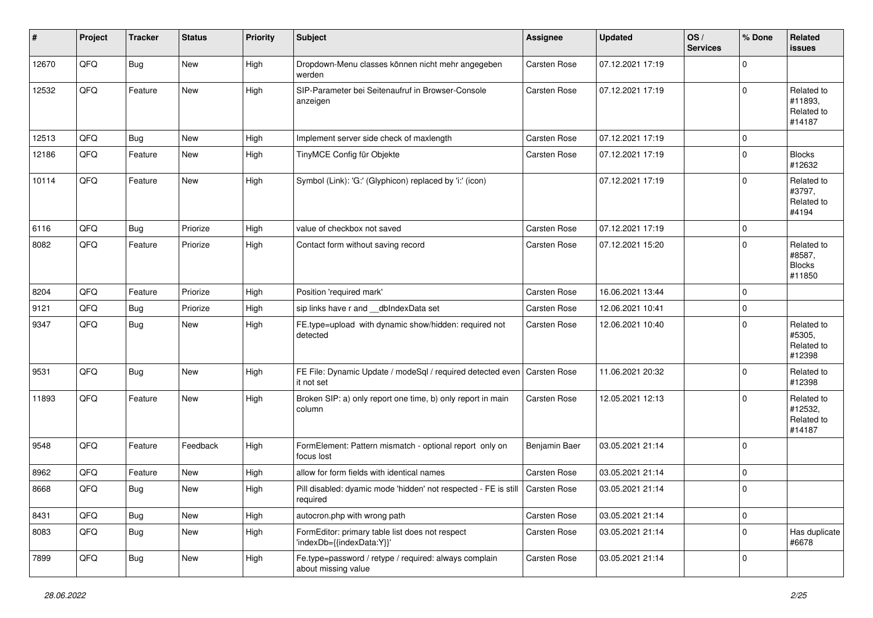| #     | Project | <b>Tracker</b> | <b>Status</b> | <b>Priority</b> | <b>Subject</b>                                                               | Assignee      | <b>Updated</b>   | OS/<br><b>Services</b> | % Done      | <b>Related</b><br>issues                        |
|-------|---------|----------------|---------------|-----------------|------------------------------------------------------------------------------|---------------|------------------|------------------------|-------------|-------------------------------------------------|
| 12670 | QFQ     | <b>Bug</b>     | New           | High            | Dropdown-Menu classes können nicht mehr angegeben<br>werden                  | Carsten Rose  | 07.12.2021 17:19 |                        | $\Omega$    |                                                 |
| 12532 | QFQ     | Feature        | <b>New</b>    | High            | SIP-Parameter bei Seitenaufruf in Browser-Console<br>anzeigen                | Carsten Rose  | 07.12.2021 17:19 |                        | $\mathbf 0$ | Related to<br>#11893,<br>Related to<br>#14187   |
| 12513 | QFQ     | <b>Bug</b>     | <b>New</b>    | High            | Implement server side check of maxlength                                     | Carsten Rose  | 07.12.2021 17:19 |                        | $\mathbf 0$ |                                                 |
| 12186 | QFQ     | Feature        | New           | High            | TinyMCE Config für Objekte                                                   | Carsten Rose  | 07.12.2021 17:19 |                        | $\mathbf 0$ | <b>Blocks</b><br>#12632                         |
| 10114 | QFQ     | Feature        | New           | High            | Symbol (Link): 'G:' (Glyphicon) replaced by 'i:' (icon)                      |               | 07.12.2021 17:19 |                        | $\mathbf 0$ | Related to<br>#3797,<br>Related to<br>#4194     |
| 6116  | QFQ     | <b>Bug</b>     | Priorize      | High            | value of checkbox not saved                                                  | Carsten Rose  | 07.12.2021 17:19 |                        | $\mathbf 0$ |                                                 |
| 8082  | QFQ     | Feature        | Priorize      | High            | Contact form without saving record                                           | Carsten Rose  | 07.12.2021 15:20 |                        | $\Omega$    | Related to<br>#8587.<br><b>Blocks</b><br>#11850 |
| 8204  | QFQ     | Feature        | Priorize      | High            | Position 'required mark'                                                     | Carsten Rose  | 16.06.2021 13:44 |                        | $\mathbf 0$ |                                                 |
| 9121  | QFQ     | <b>Bug</b>     | Priorize      | High            | sip links have r and __dbIndexData set                                       | Carsten Rose  | 12.06.2021 10:41 |                        | $\mathbf 0$ |                                                 |
| 9347  | QFQ     | <b>Bug</b>     | New           | High            | FE.type=upload with dynamic show/hidden: required not<br>detected            | Carsten Rose  | 12.06.2021 10:40 |                        | $\mathbf 0$ | Related to<br>#5305,<br>Related to<br>#12398    |
| 9531  | QFQ     | Bug            | New           | High            | FE File: Dynamic Update / modeSql / required detected even<br>it not set     | Carsten Rose  | 11.06.2021 20:32 |                        | $\Omega$    | Related to<br>#12398                            |
| 11893 | QFQ     | Feature        | New           | High            | Broken SIP: a) only report one time, b) only report in main<br>column        | Carsten Rose  | 12.05.2021 12:13 |                        | $\mathbf 0$ | Related to<br>#12532,<br>Related to<br>#14187   |
| 9548  | QFQ     | Feature        | Feedback      | High            | FormElement: Pattern mismatch - optional report only on<br>focus lost        | Benjamin Baer | 03.05.2021 21:14 |                        | $\mathbf 0$ |                                                 |
| 8962  | QFQ     | Feature        | <b>New</b>    | High            | allow for form fields with identical names                                   | Carsten Rose  | 03.05.2021 21:14 |                        | 0           |                                                 |
| 8668  | QFQ     | Bug            | New           | High            | Pill disabled: dyamic mode 'hidden' not respected - FE is still<br>required  | Carsten Rose  | 03.05.2021 21:14 |                        | $\mathbf 0$ |                                                 |
| 8431  | QFQ     | Bug            | New           | High            | autocron.php with wrong path                                                 | Carsten Rose  | 03.05.2021 21:14 |                        | 0           |                                                 |
| 8083  | QFQ     | <b>Bug</b>     | New           | High            | FormEditor: primary table list does not respect<br>'indexDb={{indexData:Y}}' | Carsten Rose  | 03.05.2021 21:14 |                        | $\mathbf 0$ | Has duplicate<br>#6678                          |
| 7899  | QFQ     | <b>Bug</b>     | New           | High            | Fe.type=password / retype / required: always complain<br>about missing value | Carsten Rose  | 03.05.2021 21:14 |                        | $\mathbf 0$ |                                                 |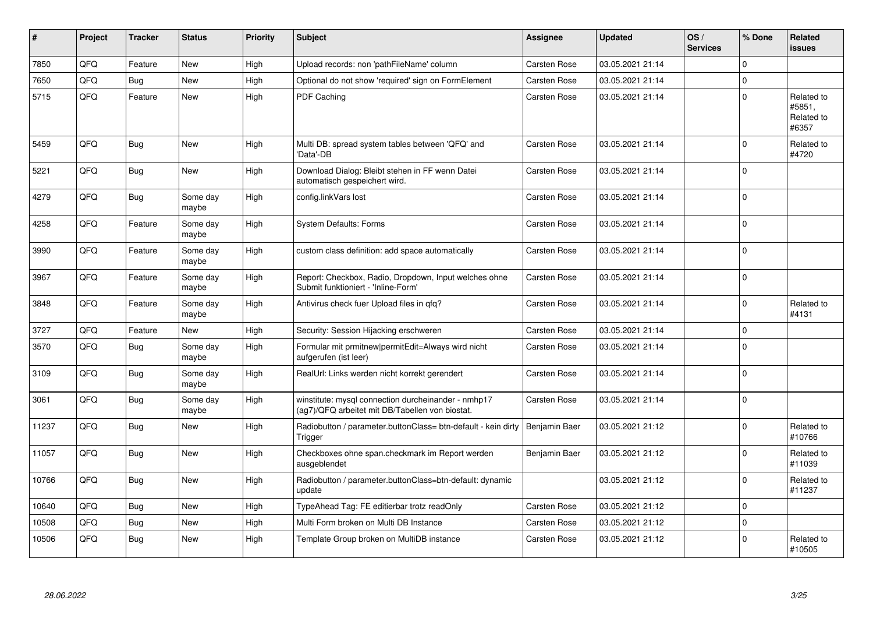| #     | Project | <b>Tracker</b> | <b>Status</b>     | <b>Priority</b> | <b>Subject</b>                                                                                         | Assignee      | <b>Updated</b>   | OS/<br><b>Services</b> | % Done      | Related<br>issues                           |
|-------|---------|----------------|-------------------|-----------------|--------------------------------------------------------------------------------------------------------|---------------|------------------|------------------------|-------------|---------------------------------------------|
| 7850  | QFQ     | Feature        | <b>New</b>        | High            | Upload records: non 'pathFileName' column                                                              | Carsten Rose  | 03.05.2021 21:14 |                        | 0           |                                             |
| 7650  | QFQ     | Bug            | New               | High            | Optional do not show 'required' sign on FormElement                                                    | Carsten Rose  | 03.05.2021 21:14 |                        | 0           |                                             |
| 5715  | QFQ     | Feature        | <b>New</b>        | High            | PDF Caching                                                                                            | Carsten Rose  | 03.05.2021 21:14 |                        | 0           | Related to<br>#5851,<br>Related to<br>#6357 |
| 5459  | QFQ     | <b>Bug</b>     | New               | High            | Multi DB: spread system tables between 'QFQ' and<br>'Data'-DB                                          | Carsten Rose  | 03.05.2021 21:14 |                        | $\Omega$    | Related to<br>#4720                         |
| 5221  | QFQ     | <b>Bug</b>     | New               | High            | Download Dialog: Bleibt stehen in FF wenn Datei<br>automatisch gespeichert wird.                       | Carsten Rose  | 03.05.2021 21:14 |                        | $\Omega$    |                                             |
| 4279  | QFQ     | <b>Bug</b>     | Some day<br>maybe | High            | config.linkVars lost                                                                                   | Carsten Rose  | 03.05.2021 21:14 |                        | $\Omega$    |                                             |
| 4258  | QFQ     | Feature        | Some day<br>maybe | High            | System Defaults: Forms                                                                                 | Carsten Rose  | 03.05.2021 21:14 |                        | $\mathsf 0$ |                                             |
| 3990  | QFQ     | Feature        | Some day<br>maybe | High            | custom class definition: add space automatically                                                       | Carsten Rose  | 03.05.2021 21:14 |                        | $\Omega$    |                                             |
| 3967  | QFQ     | Feature        | Some day<br>maybe | High            | Report: Checkbox, Radio, Dropdown, Input welches ohne<br>Submit funktioniert - 'Inline-Form'           | Carsten Rose  | 03.05.2021 21:14 |                        | $\Omega$    |                                             |
| 3848  | QFQ     | Feature        | Some day<br>maybe | High            | Antivirus check fuer Upload files in gfg?                                                              | Carsten Rose  | 03.05.2021 21:14 |                        | $\Omega$    | Related to<br>#4131                         |
| 3727  | QFQ     | Feature        | New               | High            | Security: Session Hijacking erschweren                                                                 | Carsten Rose  | 03.05.2021 21:14 |                        | 0           |                                             |
| 3570  | QFQ     | Bug            | Some day<br>maybe | High            | Formular mit prmitnew permitEdit=Always wird nicht<br>aufgerufen (ist leer)                            | Carsten Rose  | 03.05.2021 21:14 |                        | $\mathbf 0$ |                                             |
| 3109  | QFQ     | <b>Bug</b>     | Some day<br>maybe | High            | RealUrl: Links werden nicht korrekt gerendert                                                          | Carsten Rose  | 03.05.2021 21:14 |                        | 0           |                                             |
| 3061  | QFQ     | <b>Bug</b>     | Some day<br>maybe | High            | winstitute: mysql connection durcheinander - nmhp17<br>(ag7)/QFQ arbeitet mit DB/Tabellen von biostat. | Carsten Rose  | 03.05.2021 21:14 |                        | 0           |                                             |
| 11237 | QFQ     | Bug            | <b>New</b>        | High            | Radiobutton / parameter.buttonClass= btn-default - kein dirty<br>Trigger                               | Benjamin Baer | 03.05.2021 21:12 |                        | 0           | Related to<br>#10766                        |
| 11057 | QFQ     | Bug            | <b>New</b>        | High            | Checkboxes ohne span.checkmark im Report werden<br>ausgeblendet                                        | Benjamin Baer | 03.05.2021 21:12 |                        | $\pmb{0}$   | Related to<br>#11039                        |
| 10766 | QFQ     | <b>Bug</b>     | <b>New</b>        | High            | Radiobutton / parameter.buttonClass=btn-default: dynamic<br>update                                     |               | 03.05.2021 21:12 |                        | 0           | Related to<br>#11237                        |
| 10640 | QFQ     | <b>Bug</b>     | <b>New</b>        | High            | TypeAhead Tag: FE editierbar trotz readOnly                                                            | Carsten Rose  | 03.05.2021 21:12 |                        | 0           |                                             |
| 10508 | QFQ     | <b>Bug</b>     | <b>New</b>        | High            | Multi Form broken on Multi DB Instance                                                                 | Carsten Rose  | 03.05.2021 21:12 |                        | 0           |                                             |
| 10506 | QFQ     | Bug            | <b>New</b>        | High            | Template Group broken on MultiDB instance                                                              | Carsten Rose  | 03.05.2021 21:12 |                        | $\mathbf 0$ | Related to<br>#10505                        |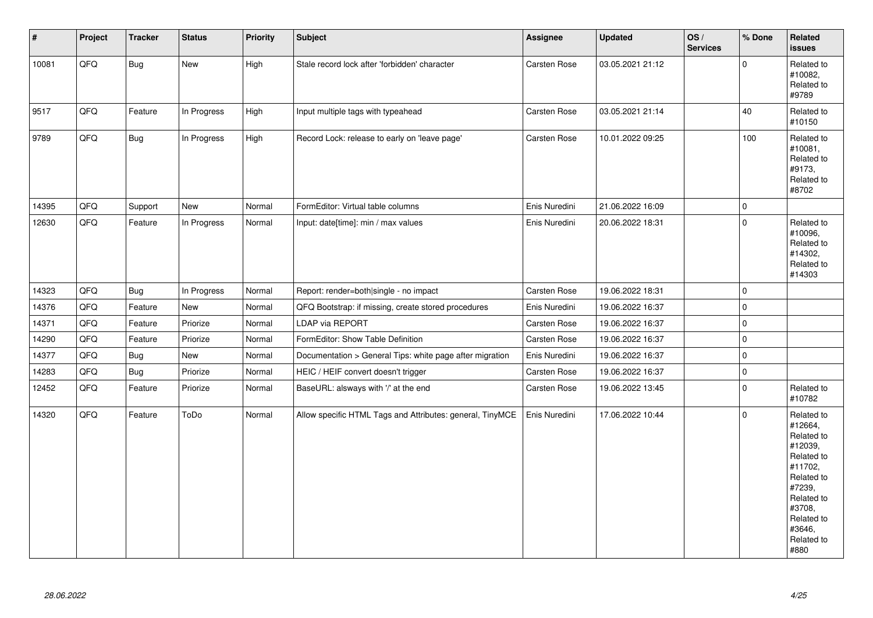| $\vert$ # | Project | <b>Tracker</b> | <b>Status</b> | Priority | <b>Subject</b>                                            | Assignee            | <b>Updated</b>   | OS/<br><b>Services</b> | % Done      | Related<br><b>issues</b>                                                                                                                                              |
|-----------|---------|----------------|---------------|----------|-----------------------------------------------------------|---------------------|------------------|------------------------|-------------|-----------------------------------------------------------------------------------------------------------------------------------------------------------------------|
| 10081     | QFQ     | <b>Bug</b>     | New           | High     | Stale record lock after 'forbidden' character             | Carsten Rose        | 03.05.2021 21:12 |                        | $\Omega$    | Related to<br>#10082,<br>Related to<br>#9789                                                                                                                          |
| 9517      | QFQ     | Feature        | In Progress   | High     | Input multiple tags with typeahead                        | <b>Carsten Rose</b> | 03.05.2021 21:14 |                        | 40          | Related to<br>#10150                                                                                                                                                  |
| 9789      | QFQ     | <b>Bug</b>     | In Progress   | High     | Record Lock: release to early on 'leave page'             | Carsten Rose        | 10.01.2022 09:25 |                        | 100         | Related to<br>#10081,<br>Related to<br>#9173,<br>Related to<br>#8702                                                                                                  |
| 14395     | QFQ     | Support        | <b>New</b>    | Normal   | FormEditor: Virtual table columns                         | Enis Nuredini       | 21.06.2022 16:09 |                        | $\Omega$    |                                                                                                                                                                       |
| 12630     | QFQ     | Feature        | In Progress   | Normal   | Input: date[time]: min / max values                       | Enis Nuredini       | 20.06.2022 18:31 |                        | $\Omega$    | Related to<br>#10096,<br>Related to<br>#14302,<br>Related to<br>#14303                                                                                                |
| 14323     | QFQ     | <b>Bug</b>     | In Progress   | Normal   | Report: render=both single - no impact                    | Carsten Rose        | 19.06.2022 18:31 |                        | $\Omega$    |                                                                                                                                                                       |
| 14376     | QFQ     | Feature        | <b>New</b>    | Normal   | QFQ Bootstrap: if missing, create stored procedures       | Enis Nuredini       | 19.06.2022 16:37 |                        | 0           |                                                                                                                                                                       |
| 14371     | QFQ     | Feature        | Priorize      | Normal   | <b>LDAP via REPORT</b>                                    | <b>Carsten Rose</b> | 19.06.2022 16:37 |                        | 0           |                                                                                                                                                                       |
| 14290     | QFQ     | Feature        | Priorize      | Normal   | FormEditor: Show Table Definition                         | Carsten Rose        | 19.06.2022 16:37 |                        | 0           |                                                                                                                                                                       |
| 14377     | QFQ     | Bug            | New           | Normal   | Documentation > General Tips: white page after migration  | Enis Nuredini       | 19.06.2022 16:37 |                        | 0           |                                                                                                                                                                       |
| 14283     | QFQ     | Bug            | Priorize      | Normal   | HEIC / HEIF convert doesn't trigger                       | Carsten Rose        | 19.06.2022 16:37 |                        | $\mathsf 0$ |                                                                                                                                                                       |
| 12452     | QFQ     | Feature        | Priorize      | Normal   | BaseURL: alsways with '/' at the end                      | Carsten Rose        | 19.06.2022 13:45 |                        | 0           | Related to<br>#10782                                                                                                                                                  |
| 14320     | QFQ     | Feature        | ToDo          | Normal   | Allow specific HTML Tags and Attributes: general, TinyMCE | Enis Nuredini       | 17.06.2022 10:44 |                        | 0           | Related to<br>#12664,<br>Related to<br>#12039,<br>Related to<br>#11702,<br>Related to<br>#7239,<br>Related to<br>#3708,<br>Related to<br>#3646,<br>Related to<br>#880 |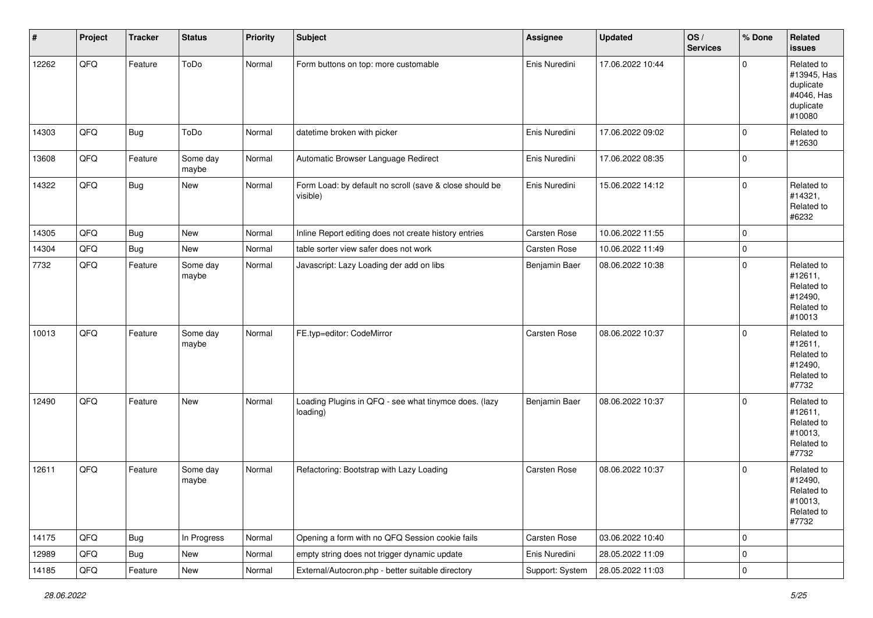| $\vert$ # | Project | <b>Tracker</b> | <b>Status</b>     | <b>Priority</b> | <b>Subject</b>                                                      | <b>Assignee</b> | <b>Updated</b>   | OS/<br><b>Services</b> | % Done         | Related<br><b>issues</b>                                                    |
|-----------|---------|----------------|-------------------|-----------------|---------------------------------------------------------------------|-----------------|------------------|------------------------|----------------|-----------------------------------------------------------------------------|
| 12262     | QFQ     | Feature        | ToDo              | Normal          | Form buttons on top: more customable                                | Enis Nuredini   | 17.06.2022 10:44 |                        | $\Omega$       | Related to<br>#13945, Has<br>duplicate<br>#4046, Has<br>duplicate<br>#10080 |
| 14303     | QFQ     | Bug            | ToDo              | Normal          | datetime broken with picker                                         | Enis Nuredini   | 17.06.2022 09:02 |                        | $\mathbf 0$    | Related to<br>#12630                                                        |
| 13608     | QFQ     | Feature        | Some day<br>maybe | Normal          | Automatic Browser Language Redirect                                 | Enis Nuredini   | 17.06.2022 08:35 |                        | $\mathbf 0$    |                                                                             |
| 14322     | QFQ     | <b>Bug</b>     | New               | Normal          | Form Load: by default no scroll (save & close should be<br>visible) | Enis Nuredini   | 15.06.2022 14:12 |                        | $\mathbf 0$    | Related to<br>#14321,<br>Related to<br>#6232                                |
| 14305     | QFQ     | Bug            | New               | Normal          | Inline Report editing does not create history entries               | Carsten Rose    | 10.06.2022 11:55 |                        | $\mathbf 0$    |                                                                             |
| 14304     | QFQ     | Bug            | New               | Normal          | table sorter view safer does not work                               | Carsten Rose    | 10.06.2022 11:49 |                        | $\mathbf 0$    |                                                                             |
| 7732      | QFQ     | Feature        | Some day<br>maybe | Normal          | Javascript: Lazy Loading der add on libs                            | Benjamin Baer   | 08.06.2022 10:38 |                        | $\mathbf 0$    | Related to<br>#12611,<br>Related to<br>#12490,<br>Related to<br>#10013      |
| 10013     | QFQ     | Feature        | Some day<br>maybe | Normal          | FE.typ=editor: CodeMirror                                           | Carsten Rose    | 08.06.2022 10:37 |                        | $\mathbf 0$    | Related to<br>#12611,<br>Related to<br>#12490,<br>Related to<br>#7732       |
| 12490     | QFQ     | Feature        | New               | Normal          | Loading Plugins in QFQ - see what tinymce does. (lazy<br>loading)   | Benjamin Baer   | 08.06.2022 10:37 |                        | $\Omega$       | Related to<br>#12611,<br>Related to<br>#10013,<br>Related to<br>#7732       |
| 12611     | QFQ     | Feature        | Some day<br>maybe | Normal          | Refactoring: Bootstrap with Lazy Loading                            | Carsten Rose    | 08.06.2022 10:37 |                        | $\Omega$       | Related to<br>#12490,<br>Related to<br>#10013,<br>Related to<br>#7732       |
| 14175     | QFQ     | <b>Bug</b>     | In Progress       | Normal          | Opening a form with no QFQ Session cookie fails                     | Carsten Rose    | 03.06.2022 10:40 |                        | 0              |                                                                             |
| 12989     | QFQ     | <b>Bug</b>     | New               | Normal          | empty string does not trigger dynamic update                        | Enis Nuredini   | 28.05.2022 11:09 |                        | $\mathbf 0$    |                                                                             |
| 14185     | QFG     | Feature        | New               | Normal          | External/Autocron.php - better suitable directory                   | Support: System | 28.05.2022 11:03 |                        | $\overline{0}$ |                                                                             |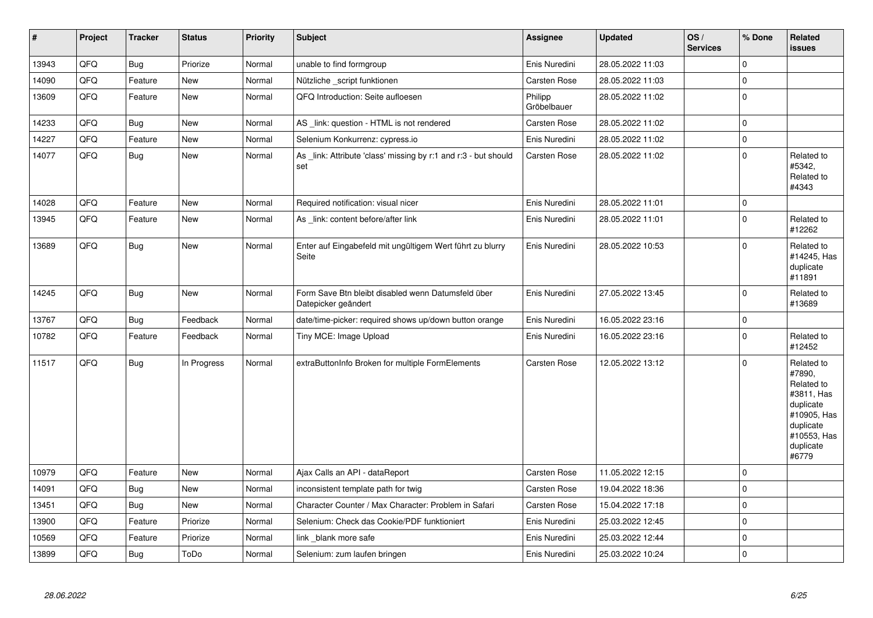| $\vert$ # | Project | <b>Tracker</b> | <b>Status</b> | <b>Priority</b> | <b>Subject</b>                                                            | Assignee               | <b>Updated</b>   | OS/<br><b>Services</b> | % Done         | Related<br>issues                                                                                                              |
|-----------|---------|----------------|---------------|-----------------|---------------------------------------------------------------------------|------------------------|------------------|------------------------|----------------|--------------------------------------------------------------------------------------------------------------------------------|
| 13943     | QFQ     | Bug            | Priorize      | Normal          | unable to find formgroup                                                  | Enis Nuredini          | 28.05.2022 11:03 |                        | 0              |                                                                                                                                |
| 14090     | QFQ     | Feature        | New           | Normal          | Nützliche script funktionen                                               | <b>Carsten Rose</b>    | 28.05.2022 11:03 |                        | 0              |                                                                                                                                |
| 13609     | QFQ     | Feature        | <b>New</b>    | Normal          | QFQ Introduction: Seite aufloesen                                         | Philipp<br>Gröbelbauer | 28.05.2022 11:02 |                        | 0              |                                                                                                                                |
| 14233     | QFQ     | Bug            | New           | Normal          | AS link: question - HTML is not rendered                                  | Carsten Rose           | 28.05.2022 11:02 |                        | 0              |                                                                                                                                |
| 14227     | QFQ     | Feature        | <b>New</b>    | Normal          | Selenium Konkurrenz: cypress.io                                           | Enis Nuredini          | 28.05.2022 11:02 |                        | 0              |                                                                                                                                |
| 14077     | QFQ     | <b>Bug</b>     | New           | Normal          | As _link: Attribute 'class' missing by r:1 and r:3 - but should<br>set    | Carsten Rose           | 28.05.2022 11:02 |                        | $\Omega$       | Related to<br>#5342.<br>Related to<br>#4343                                                                                    |
| 14028     | QFQ     | Feature        | <b>New</b>    | Normal          | Required notification: visual nicer                                       | Enis Nuredini          | 28.05.2022 11:01 |                        | 0              |                                                                                                                                |
| 13945     | QFQ     | Feature        | <b>New</b>    | Normal          | As link: content before/after link                                        | Enis Nuredini          | 28.05.2022 11:01 |                        | $\Omega$       | Related to<br>#12262                                                                                                           |
| 13689     | QFQ     | Bug            | <b>New</b>    | Normal          | Enter auf Eingabefeld mit ungültigem Wert führt zu blurry<br>Seite        | Enis Nuredini          | 28.05.2022 10:53 |                        | 0              | Related to<br>#14245, Has<br>duplicate<br>#11891                                                                               |
| 14245     | QFQ     | Bug            | <b>New</b>    | Normal          | Form Save Btn bleibt disabled wenn Datumsfeld über<br>Datepicker geändert | Enis Nuredini          | 27.05.2022 13:45 |                        | $\Omega$       | Related to<br>#13689                                                                                                           |
| 13767     | QFQ     | <b>Bug</b>     | Feedback      | Normal          | date/time-picker: required shows up/down button orange                    | Enis Nuredini          | 16.05.2022 23:16 |                        | $\pmb{0}$      |                                                                                                                                |
| 10782     | QFQ     | Feature        | Feedback      | Normal          | Tiny MCE: Image Upload                                                    | Enis Nuredini          | 16.05.2022 23:16 |                        | 0              | Related to<br>#12452                                                                                                           |
| 11517     | QFQ     | <b>Bug</b>     | In Progress   | Normal          | extraButtonInfo Broken for multiple FormElements                          | Carsten Rose           | 12.05.2022 13:12 |                        | $\Omega$       | Related to<br>#7890,<br>Related to<br>#3811, Has<br>duplicate<br>#10905, Has<br>duplicate<br>#10553, Has<br>duplicate<br>#6779 |
| 10979     | QFQ     | Feature        | <b>New</b>    | Normal          | Ajax Calls an API - dataReport                                            | Carsten Rose           | 11.05.2022 12:15 |                        | 0              |                                                                                                                                |
| 14091     | QFQ     | Bug            | <b>New</b>    | Normal          | inconsistent template path for twig                                       | Carsten Rose           | 19.04.2022 18:36 |                        | 0              |                                                                                                                                |
| 13451     | QFQ     | <b>Bug</b>     | New           | Normal          | Character Counter / Max Character: Problem in Safari                      | <b>Carsten Rose</b>    | 15.04.2022 17:18 |                        | $\pmb{0}$      |                                                                                                                                |
| 13900     | QFQ     | Feature        | Priorize      | Normal          | Selenium: Check das Cookie/PDF funktioniert                               | Enis Nuredini          | 25.03.2022 12:45 |                        | $\Omega$       |                                                                                                                                |
| 10569     | QFQ     | Feature        | Priorize      | Normal          | link _blank more safe                                                     | Enis Nuredini          | 25.03.2022 12:44 |                        | 0              |                                                                                                                                |
| 13899     | QFQ     | Bug            | ToDo          | Normal          | Selenium: zum laufen bringen                                              | Enis Nuredini          | 25.03.2022 10:24 |                        | $\overline{0}$ |                                                                                                                                |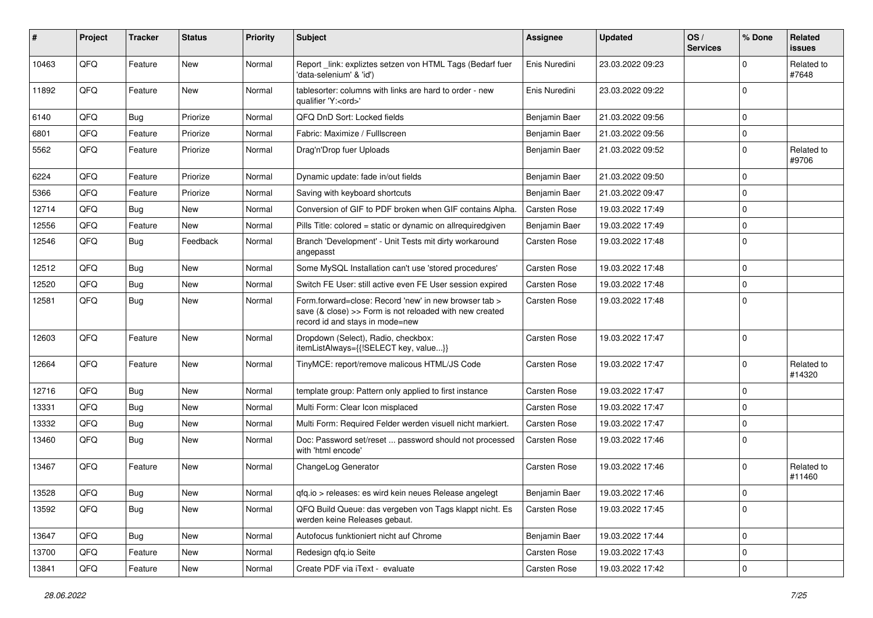| ∦     | Project | <b>Tracker</b>   | <b>Status</b> | <b>Priority</b> | <b>Subject</b>                                                                                                                                      | <b>Assignee</b> | <b>Updated</b>   | OS/<br><b>Services</b> | % Done      | <b>Related</b><br>issues |
|-------|---------|------------------|---------------|-----------------|-----------------------------------------------------------------------------------------------------------------------------------------------------|-----------------|------------------|------------------------|-------------|--------------------------|
| 10463 | QFQ     | Feature          | <b>New</b>    | Normal          | Report_link: expliztes setzen von HTML Tags (Bedarf fuer<br>'data-selenium' & 'id')                                                                 | Enis Nuredini   | 23.03.2022 09:23 |                        | $\Omega$    | Related to<br>#7648      |
| 11892 | QFQ     | Feature          | New           | Normal          | tablesorter: columns with links are hard to order - new<br>qualifier 'Y: <ord>'</ord>                                                               | Enis Nuredini   | 23.03.2022 09:22 |                        | $\Omega$    |                          |
| 6140  | QFQ     | <b>Bug</b>       | Priorize      | Normal          | QFQ DnD Sort: Locked fields                                                                                                                         | Benjamin Baer   | 21.03.2022 09:56 |                        | $\Omega$    |                          |
| 6801  | QFQ     | Feature          | Priorize      | Normal          | Fabric: Maximize / FullIscreen                                                                                                                      | Benjamin Baer   | 21.03.2022 09:56 |                        | $\Omega$    |                          |
| 5562  | QFQ     | Feature          | Priorize      | Normal          | Drag'n'Drop fuer Uploads                                                                                                                            | Benjamin Baer   | 21.03.2022 09:52 |                        | $\Omega$    | Related to<br>#9706      |
| 6224  | QFQ     | Feature          | Priorize      | Normal          | Dynamic update: fade in/out fields                                                                                                                  | Benjamin Baer   | 21.03.2022 09:50 |                        | $\Omega$    |                          |
| 5366  | QFQ     | Feature          | Priorize      | Normal          | Saving with keyboard shortcuts                                                                                                                      | Benjamin Baer   | 21.03.2022 09:47 |                        | $\Omega$    |                          |
| 12714 | QFQ     | <b>Bug</b>       | <b>New</b>    | Normal          | Conversion of GIF to PDF broken when GIF contains Alpha.                                                                                            | Carsten Rose    | 19.03.2022 17:49 |                        | $\Omega$    |                          |
| 12556 | QFQ     | Feature          | New           | Normal          | Pills Title: colored = static or dynamic on allrequiredgiven                                                                                        | Benjamin Baer   | 19.03.2022 17:49 |                        | $\Omega$    |                          |
| 12546 | QFQ     | Bug              | Feedback      | Normal          | Branch 'Development' - Unit Tests mit dirty workaround<br>angepasst                                                                                 | Carsten Rose    | 19.03.2022 17:48 |                        | $\Omega$    |                          |
| 12512 | QFQ     | <b>Bug</b>       | New           | Normal          | Some MySQL Installation can't use 'stored procedures'                                                                                               | Carsten Rose    | 19.03.2022 17:48 |                        | $\Omega$    |                          |
| 12520 | QFQ     | <b>Bug</b>       | New           | Normal          | Switch FE User: still active even FE User session expired                                                                                           | Carsten Rose    | 19.03.2022 17:48 |                        | $\Omega$    |                          |
| 12581 | QFQ     | <b>Bug</b>       | New           | Normal          | Form.forward=close: Record 'new' in new browser tab ><br>save (& close) >> Form is not reloaded with new created<br>record id and stays in mode=new | Carsten Rose    | 19.03.2022 17:48 |                        | $\Omega$    |                          |
| 12603 | QFQ     | Feature          | <b>New</b>    | Normal          | Dropdown (Select), Radio, checkbox:<br>itemListAlways={{!SELECT key, value}}                                                                        | Carsten Rose    | 19.03.2022 17:47 |                        | $\Omega$    |                          |
| 12664 | QFQ     | Feature          | New           | Normal          | TinyMCE: report/remove malicous HTML/JS Code                                                                                                        | Carsten Rose    | 19.03.2022 17:47 |                        | $\Omega$    | Related to<br>#14320     |
| 12716 | QFQ     | <b>Bug</b>       | <b>New</b>    | Normal          | template group: Pattern only applied to first instance                                                                                              | Carsten Rose    | 19.03.2022 17:47 |                        | $\Omega$    |                          |
| 13331 | QFQ     | <b>Bug</b>       | New           | Normal          | Multi Form: Clear Icon misplaced                                                                                                                    | Carsten Rose    | 19.03.2022 17:47 |                        | $\Omega$    |                          |
| 13332 | QFQ     | Bug              | New           | Normal          | Multi Form: Required Felder werden visuell nicht markiert.                                                                                          | Carsten Rose    | 19.03.2022 17:47 |                        | $\Omega$    |                          |
| 13460 | QFQ     | <b>Bug</b>       | New           | Normal          | Doc: Password set/reset  password should not processed<br>with 'html encode'                                                                        | Carsten Rose    | 19.03.2022 17:46 |                        | $\Omega$    |                          |
| 13467 | QFQ     | Feature          | New           | Normal          | ChangeLog Generator                                                                                                                                 | Carsten Rose    | 19.03.2022 17:46 |                        | $\Omega$    | Related to<br>#11460     |
| 13528 | QFG     | <sub>I</sub> Bug | New           | Normal          | qfq.io > releases: es wird kein neues Release angelegt                                                                                              | Benjamin Baer   | 19.03.2022 17:46 |                        | 0           |                          |
| 13592 | QFQ     | Bug              | New           | Normal          | QFQ Build Queue: das vergeben von Tags klappt nicht. Es<br>werden keine Releases gebaut.                                                            | Carsten Rose    | 19.03.2022 17:45 |                        | $\mathbf 0$ |                          |
| 13647 | QFQ     | <b>Bug</b>       | New           | Normal          | Autofocus funktioniert nicht auf Chrome                                                                                                             | Benjamin Baer   | 19.03.2022 17:44 |                        | $\mathbf 0$ |                          |
| 13700 | QFQ     | Feature          | New           | Normal          | Redesign qfq.io Seite                                                                                                                               | Carsten Rose    | 19.03.2022 17:43 |                        | $\mathbf 0$ |                          |
| 13841 | QFO     | Feature          | New           | Normal          | Create PDF via iText - evaluate                                                                                                                     | Carsten Rose    | 19.03.2022 17:42 |                        | $\pmb{0}$   |                          |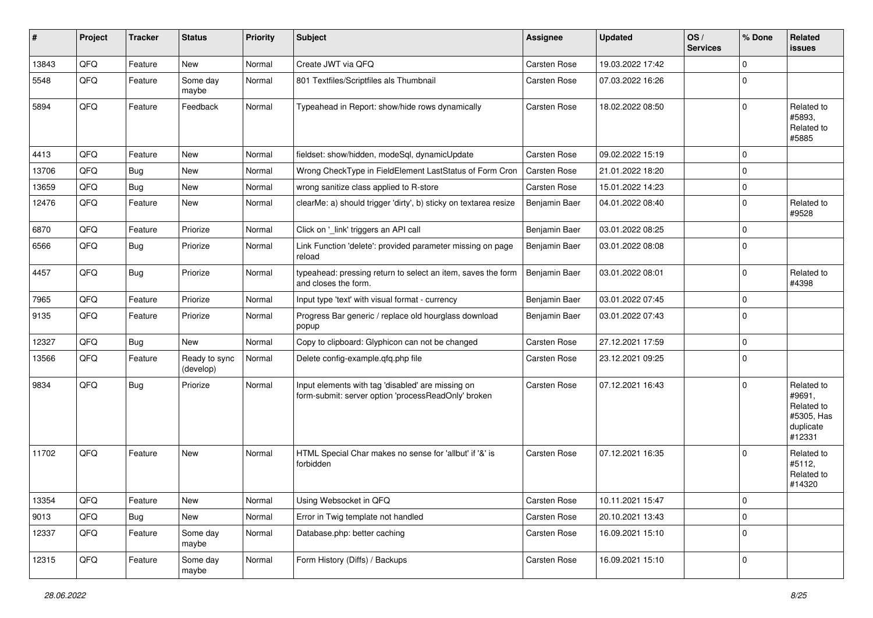| ∦     | Project | <b>Tracker</b> | <b>Status</b>              | <b>Priority</b> | <b>Subject</b>                                                                                           | <b>Assignee</b> | <b>Updated</b>   | OS/<br><b>Services</b> | % Done      | Related<br>issues                                                       |
|-------|---------|----------------|----------------------------|-----------------|----------------------------------------------------------------------------------------------------------|-----------------|------------------|------------------------|-------------|-------------------------------------------------------------------------|
| 13843 | QFQ     | Feature        | New                        | Normal          | Create JWT via QFQ                                                                                       | Carsten Rose    | 19.03.2022 17:42 |                        | 0           |                                                                         |
| 5548  | QFQ     | Feature        | Some day<br>maybe          | Normal          | 801 Textfiles/Scriptfiles als Thumbnail                                                                  | Carsten Rose    | 07.03.2022 16:26 |                        | $\mathbf 0$ |                                                                         |
| 5894  | QFQ     | Feature        | Feedback                   | Normal          | Typeahead in Report: show/hide rows dynamically                                                          | Carsten Rose    | 18.02.2022 08:50 |                        | 0           | Related to<br>#5893,<br>Related to<br>#5885                             |
| 4413  | QFQ     | Feature        | <b>New</b>                 | Normal          | fieldset: show/hidden, modeSql, dynamicUpdate                                                            | Carsten Rose    | 09.02.2022 15:19 |                        | 0           |                                                                         |
| 13706 | QFQ     | Bug            | <b>New</b>                 | Normal          | Wrong CheckType in FieldElement LastStatus of Form Cron                                                  | Carsten Rose    | 21.01.2022 18:20 |                        | $\mathbf 0$ |                                                                         |
| 13659 | QFQ     | Bug            | New                        | Normal          | wrong sanitize class applied to R-store                                                                  | Carsten Rose    | 15.01.2022 14:23 |                        | $\pmb{0}$   |                                                                         |
| 12476 | QFQ     | Feature        | New                        | Normal          | clearMe: a) should trigger 'dirty', b) sticky on textarea resize                                         | Benjamin Baer   | 04.01.2022 08:40 |                        | $\mathbf 0$ | Related to<br>#9528                                                     |
| 6870  | QFQ     | Feature        | Priorize                   | Normal          | Click on '_link' triggers an API call                                                                    | Benjamin Baer   | 03.01.2022 08:25 |                        | 0           |                                                                         |
| 6566  | QFQ     | Bug            | Priorize                   | Normal          | Link Function 'delete': provided parameter missing on page<br>reload                                     | Benjamin Baer   | 03.01.2022 08:08 |                        | $\mathbf 0$ |                                                                         |
| 4457  | QFQ     | <b>Bug</b>     | Priorize                   | Normal          | typeahead: pressing return to select an item, saves the form<br>and closes the form.                     | Benjamin Baer   | 03.01.2022 08:01 |                        | $\mathbf 0$ | Related to<br>#4398                                                     |
| 7965  | QFQ     | Feature        | Priorize                   | Normal          | Input type 'text' with visual format - currency                                                          | Benjamin Baer   | 03.01.2022 07:45 |                        | $\mathbf 0$ |                                                                         |
| 9135  | QFQ     | Feature        | Priorize                   | Normal          | Progress Bar generic / replace old hourglass download<br>popup                                           | Benjamin Baer   | 03.01.2022 07:43 |                        | $\mathbf 0$ |                                                                         |
| 12327 | QFQ     | <b>Bug</b>     | <b>New</b>                 | Normal          | Copy to clipboard: Glyphicon can not be changed                                                          | Carsten Rose    | 27.12.2021 17:59 |                        | $\mathbf 0$ |                                                                         |
| 13566 | QFQ     | Feature        | Ready to sync<br>(develop) | Normal          | Delete config-example.qfq.php file                                                                       | Carsten Rose    | 23.12.2021 09:25 |                        | $\mathbf 0$ |                                                                         |
| 9834  | QFQ     | <b>Bug</b>     | Priorize                   | Normal          | Input elements with tag 'disabled' are missing on<br>form-submit: server option 'processReadOnly' broken | Carsten Rose    | 07.12.2021 16:43 |                        | 0           | Related to<br>#9691,<br>Related to<br>#5305, Has<br>duplicate<br>#12331 |
| 11702 | QFQ     | Feature        | <b>New</b>                 | Normal          | HTML Special Char makes no sense for 'allbut' if '&' is<br>forbidden                                     | Carsten Rose    | 07.12.2021 16:35 |                        | $\Omega$    | Related to<br>#5112,<br>Related to<br>#14320                            |
| 13354 | QFQ     | Feature        | New                        | Normal          | Using Websocket in QFQ                                                                                   | Carsten Rose    | 10.11.2021 15:47 |                        | $\pmb{0}$   |                                                                         |
| 9013  | QFQ     | <b>Bug</b>     | New                        | Normal          | Error in Twig template not handled                                                                       | Carsten Rose    | 20.10.2021 13:43 |                        | $\pmb{0}$   |                                                                         |
| 12337 | QFQ     | Feature        | Some day<br>maybe          | Normal          | Database.php: better caching                                                                             | Carsten Rose    | 16.09.2021 15:10 |                        | $\pmb{0}$   |                                                                         |
| 12315 | QFQ     | Feature        | Some day<br>maybe          | Normal          | Form History (Diffs) / Backups                                                                           | Carsten Rose    | 16.09.2021 15:10 |                        | $\pmb{0}$   |                                                                         |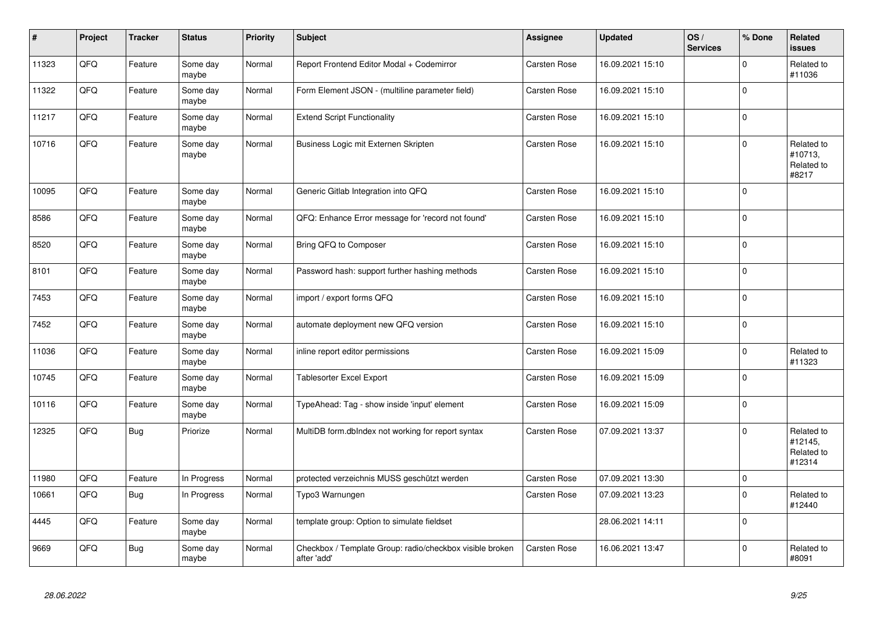| $\vert$ # | Project | <b>Tracker</b> | <b>Status</b>     | <b>Priority</b> | <b>Subject</b>                                                          | <b>Assignee</b>     | <b>Updated</b>   | OS/<br><b>Services</b> | % Done      | <b>Related</b><br>issues                      |
|-----------|---------|----------------|-------------------|-----------------|-------------------------------------------------------------------------|---------------------|------------------|------------------------|-------------|-----------------------------------------------|
| 11323     | QFQ     | Feature        | Some day<br>maybe | Normal          | Report Frontend Editor Modal + Codemirror                               | <b>Carsten Rose</b> | 16.09.2021 15:10 |                        | $\mathbf 0$ | Related to<br>#11036                          |
| 11322     | QFQ     | Feature        | Some day<br>maybe | Normal          | Form Element JSON - (multiline parameter field)                         | Carsten Rose        | 16.09.2021 15:10 |                        | $\mathbf 0$ |                                               |
| 11217     | QFQ     | Feature        | Some day<br>maybe | Normal          | <b>Extend Script Functionality</b>                                      | Carsten Rose        | 16.09.2021 15:10 |                        | $\pmb{0}$   |                                               |
| 10716     | QFQ     | Feature        | Some day<br>maybe | Normal          | Business Logic mit Externen Skripten                                    | Carsten Rose        | 16.09.2021 15:10 |                        | $\pmb{0}$   | Related to<br>#10713,<br>Related to<br>#8217  |
| 10095     | QFQ     | Feature        | Some day<br>maybe | Normal          | Generic Gitlab Integration into QFQ                                     | Carsten Rose        | 16.09.2021 15:10 |                        | $\mathbf 0$ |                                               |
| 8586      | QFQ     | Feature        | Some day<br>maybe | Normal          | QFQ: Enhance Error message for 'record not found'                       | Carsten Rose        | 16.09.2021 15:10 |                        | $\pmb{0}$   |                                               |
| 8520      | QFQ     | Feature        | Some day<br>maybe | Normal          | Bring QFQ to Composer                                                   | Carsten Rose        | 16.09.2021 15:10 |                        | $\pmb{0}$   |                                               |
| 8101      | QFQ     | Feature        | Some day<br>maybe | Normal          | Password hash: support further hashing methods                          | Carsten Rose        | 16.09.2021 15:10 |                        | $\pmb{0}$   |                                               |
| 7453      | QFQ     | Feature        | Some day<br>maybe | Normal          | import / export forms QFQ                                               | Carsten Rose        | 16.09.2021 15:10 |                        | $\mathbf 0$ |                                               |
| 7452      | QFQ     | Feature        | Some day<br>maybe | Normal          | automate deployment new QFQ version                                     | Carsten Rose        | 16.09.2021 15:10 |                        | $\mathbf 0$ |                                               |
| 11036     | QFQ     | Feature        | Some day<br>maybe | Normal          | inline report editor permissions                                        | Carsten Rose        | 16.09.2021 15:09 |                        | $\pmb{0}$   | Related to<br>#11323                          |
| 10745     | QFQ     | Feature        | Some day<br>maybe | Normal          | Tablesorter Excel Export                                                | Carsten Rose        | 16.09.2021 15:09 |                        | $\pmb{0}$   |                                               |
| 10116     | QFQ     | Feature        | Some day<br>maybe | Normal          | TypeAhead: Tag - show inside 'input' element                            | Carsten Rose        | 16.09.2021 15:09 |                        | $\mathbf 0$ |                                               |
| 12325     | QFQ     | <b>Bug</b>     | Priorize          | Normal          | MultiDB form.dblndex not working for report syntax                      | Carsten Rose        | 07.09.2021 13:37 |                        | $\mathbf 0$ | Related to<br>#12145,<br>Related to<br>#12314 |
| 11980     | QFQ     | Feature        | In Progress       | Normal          | protected verzeichnis MUSS geschützt werden                             | Carsten Rose        | 07.09.2021 13:30 |                        | $\pmb{0}$   |                                               |
| 10661     | QFQ     | <b>Bug</b>     | In Progress       | Normal          | Typo3 Warnungen                                                         | Carsten Rose        | 07.09.2021 13:23 |                        | $\pmb{0}$   | Related to<br>#12440                          |
| 4445      | QFQ     | Feature        | Some day<br>maybe | Normal          | template group: Option to simulate fieldset                             |                     | 28.06.2021 14:11 |                        | $\pmb{0}$   |                                               |
| 9669      | QFQ     | Bug            | Some day<br>maybe | Normal          | Checkbox / Template Group: radio/checkbox visible broken<br>after 'add' | Carsten Rose        | 16.06.2021 13:47 |                        | $\mathbf 0$ | Related to<br>#8091                           |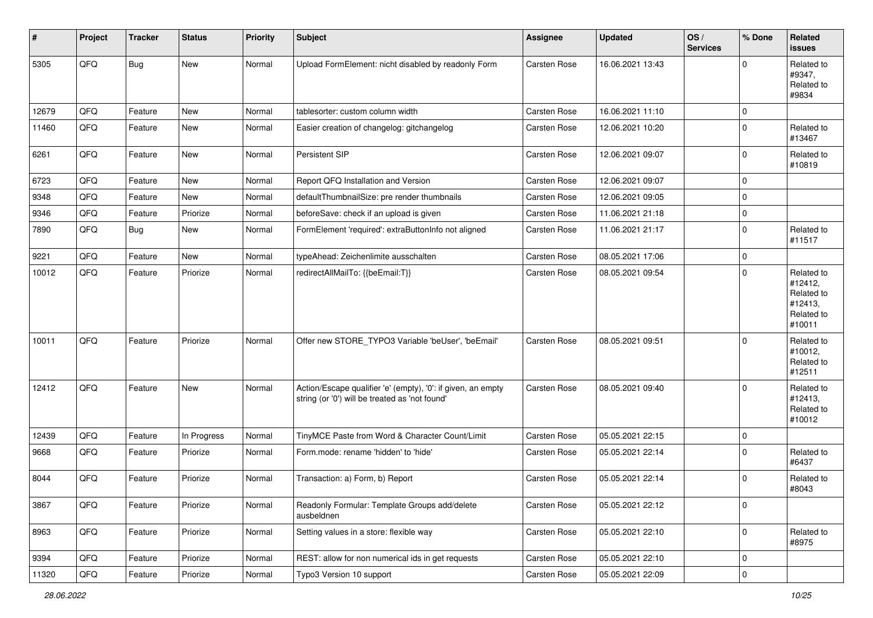| $\vert$ # | Project | <b>Tracker</b> | <b>Status</b> | <b>Priority</b> | <b>Subject</b>                                                                                                 | Assignee     | <b>Updated</b>   | OS/<br><b>Services</b> | % Done         | Related<br>issues                                                      |
|-----------|---------|----------------|---------------|-----------------|----------------------------------------------------------------------------------------------------------------|--------------|------------------|------------------------|----------------|------------------------------------------------------------------------|
| 5305      | QFQ     | Bug            | New           | Normal          | Upload FormElement: nicht disabled by readonly Form                                                            | Carsten Rose | 16.06.2021 13:43 |                        | $\Omega$       | Related to<br>#9347,<br>Related to<br>#9834                            |
| 12679     | QFQ     | Feature        | <b>New</b>    | Normal          | tablesorter: custom column width                                                                               | Carsten Rose | 16.06.2021 11:10 |                        | 0              |                                                                        |
| 11460     | QFQ     | Feature        | <b>New</b>    | Normal          | Easier creation of changelog: gitchangelog                                                                     | Carsten Rose | 12.06.2021 10:20 |                        | $\Omega$       | Related to<br>#13467                                                   |
| 6261      | QFQ     | Feature        | <b>New</b>    | Normal          | Persistent SIP                                                                                                 | Carsten Rose | 12.06.2021 09:07 |                        | 0              | Related to<br>#10819                                                   |
| 6723      | QFQ     | Feature        | <b>New</b>    | Normal          | Report QFQ Installation and Version                                                                            | Carsten Rose | 12.06.2021 09:07 |                        | 0              |                                                                        |
| 9348      | QFQ     | Feature        | <b>New</b>    | Normal          | defaultThumbnailSize: pre render thumbnails                                                                    | Carsten Rose | 12.06.2021 09:05 |                        | $\overline{0}$ |                                                                        |
| 9346      | QFQ     | Feature        | Priorize      | Normal          | beforeSave: check if an upload is given                                                                        | Carsten Rose | 11.06.2021 21:18 |                        | 0              |                                                                        |
| 7890      | QFQ     | <b>Bug</b>     | New           | Normal          | FormElement 'required': extraButtonInfo not aligned                                                            | Carsten Rose | 11.06.2021 21:17 |                        | $\mathbf 0$    | Related to<br>#11517                                                   |
| 9221      | QFQ     | Feature        | <b>New</b>    | Normal          | typeAhead: Zeichenlimite ausschalten                                                                           | Carsten Rose | 08.05.2021 17:06 |                        | 0              |                                                                        |
| 10012     | QFQ     | Feature        | Priorize      | Normal          | redirectAllMailTo: {{beEmail:T}}                                                                               | Carsten Rose | 08.05.2021 09:54 |                        | 0              | Related to<br>#12412,<br>Related to<br>#12413,<br>Related to<br>#10011 |
| 10011     | QFQ     | Feature        | Priorize      | Normal          | Offer new STORE_TYPO3 Variable 'beUser', 'beEmail'                                                             | Carsten Rose | 08.05.2021 09:51 |                        | $\Omega$       | Related to<br>#10012,<br>Related to<br>#12511                          |
| 12412     | QFQ     | Feature        | <b>New</b>    | Normal          | Action/Escape qualifier 'e' (empty), '0': if given, an empty<br>string (or '0') will be treated as 'not found' | Carsten Rose | 08.05.2021 09:40 |                        | $\Omega$       | Related to<br>#12413,<br>Related to<br>#10012                          |
| 12439     | QFQ     | Feature        | In Progress   | Normal          | TinyMCE Paste from Word & Character Count/Limit                                                                | Carsten Rose | 05.05.2021 22:15 |                        | 0              |                                                                        |
| 9668      | QFQ     | Feature        | Priorize      | Normal          | Form.mode: rename 'hidden' to 'hide'                                                                           | Carsten Rose | 05.05.2021 22:14 |                        | $\mathbf 0$    | Related to<br>#6437                                                    |
| 8044      | QFQ     | Feature        | Priorize      | Normal          | Transaction: a) Form, b) Report                                                                                | Carsten Rose | 05.05.2021 22:14 |                        | $\Omega$       | Related to<br>#8043                                                    |
| 3867      | QFQ     | Feature        | Priorize      | Normal          | Readonly Formular: Template Groups add/delete<br>ausbeldnen                                                    | Carsten Rose | 05.05.2021 22:12 |                        | $\pmb{0}$      |                                                                        |
| 8963      | QFQ     | Feature        | Priorize      | Normal          | Setting values in a store: flexible way                                                                        | Carsten Rose | 05.05.2021 22:10 |                        | $\pmb{0}$      | Related to<br>#8975                                                    |
| 9394      | QFQ     | Feature        | Priorize      | Normal          | REST: allow for non numerical ids in get requests                                                              | Carsten Rose | 05.05.2021 22:10 |                        | 0              |                                                                        |
| 11320     | QFQ     | Feature        | Priorize      | Normal          | Typo3 Version 10 support                                                                                       | Carsten Rose | 05.05.2021 22:09 |                        | 0              |                                                                        |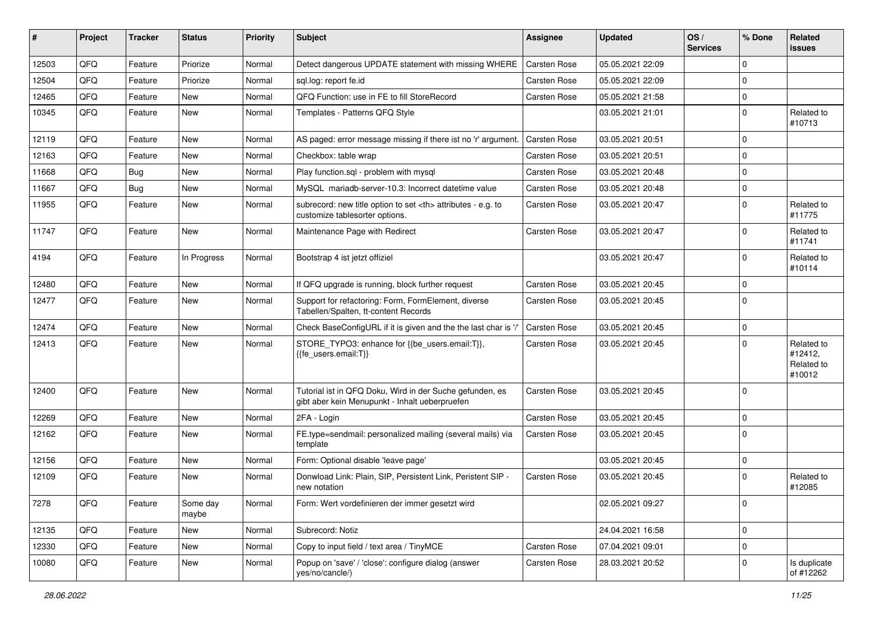| ∦     | Project | <b>Tracker</b> | <b>Status</b>     | <b>Priority</b> | Subject                                                                                                    | <b>Assignee</b>                                        | <b>Updated</b>   | OS/<br><b>Services</b> | % Done      | Related<br><b>issues</b>                      |                      |
|-------|---------|----------------|-------------------|-----------------|------------------------------------------------------------------------------------------------------------|--------------------------------------------------------|------------------|------------------------|-------------|-----------------------------------------------|----------------------|
| 12503 | QFQ     | Feature        | Priorize          | Normal          | Detect dangerous UPDATE statement with missing WHERE                                                       | Carsten Rose                                           | 05.05.2021 22:09 |                        | 0           |                                               |                      |
| 12504 | QFQ     | Feature        | Priorize          | Normal          | sql.log: report fe.id                                                                                      | Carsten Rose                                           | 05.05.2021 22:09 |                        | 0           |                                               |                      |
| 12465 | QFQ     | Feature        | New               | Normal          | QFQ Function: use in FE to fill StoreRecord                                                                | Carsten Rose                                           | 05.05.2021 21:58 |                        | $\mathbf 0$ |                                               |                      |
| 10345 | QFQ     | Feature        | <b>New</b>        | Normal          | Templates - Patterns QFQ Style                                                                             |                                                        | 03.05.2021 21:01 |                        | $\Omega$    | Related to<br>#10713                          |                      |
| 12119 | QFQ     | Feature        | New               | Normal          | AS paged: error message missing if there ist no 'r' argument.                                              | Carsten Rose                                           | 03.05.2021 20:51 |                        | $\mathbf 0$ |                                               |                      |
| 12163 | QFQ     | Feature        | New               | Normal          | Checkbox: table wrap                                                                                       | Carsten Rose                                           | 03.05.2021 20:51 |                        | $\mathbf 0$ |                                               |                      |
| 11668 | QFQ     | Bug            | <b>New</b>        | Normal          | Play function.sql - problem with mysql                                                                     | Carsten Rose                                           | 03.05.2021 20:48 |                        | 0           |                                               |                      |
| 11667 | QFQ     | Bug            | <b>New</b>        | Normal          | MySQL mariadb-server-10.3: Incorrect datetime value                                                        | Carsten Rose                                           | 03.05.2021 20:48 |                        | $\mathbf 0$ |                                               |                      |
| 11955 | QFQ     | Feature        | <b>New</b>        | Normal          | subrecord: new title option to set <th> attributes - e.g. to<br/>customize tablesorter options.</th>       | attributes - e.g. to<br>customize tablesorter options. | Carsten Rose     | 03.05.2021 20:47       |             | $\Omega$                                      | Related to<br>#11775 |
| 11747 | QFQ     | Feature        | <b>New</b>        | Normal          | Maintenance Page with Redirect                                                                             | Carsten Rose                                           | 03.05.2021 20:47 |                        | $\Omega$    | Related to<br>#11741                          |                      |
| 4194  | QFQ     | Feature        | In Progress       | Normal          | Bootstrap 4 ist jetzt offiziel                                                                             |                                                        | 03.05.2021 20:47 |                        | $\mathbf 0$ | Related to<br>#10114                          |                      |
| 12480 | QFQ     | Feature        | <b>New</b>        | Normal          | If QFQ upgrade is running, block further request                                                           | Carsten Rose                                           | 03.05.2021 20:45 |                        | 0           |                                               |                      |
| 12477 | QFQ     | Feature        | <b>New</b>        | Normal          | Support for refactoring: Form, FormElement, diverse<br>Tabellen/Spalten, tt-content Records                | Carsten Rose                                           | 03.05.2021 20:45 |                        | $\mathbf 0$ |                                               |                      |
| 12474 | QFQ     | Feature        | <b>New</b>        | Normal          | Check BaseConfigURL if it is given and the the last char is '/'                                            | Carsten Rose                                           | 03.05.2021 20:45 |                        | $\mathbf 0$ |                                               |                      |
| 12413 | QFQ     | Feature        | <b>New</b>        | Normal          | STORE_TYPO3: enhance for {{be_users.email:T}},<br>{{fe users.email:T}}                                     | Carsten Rose                                           | 03.05.2021 20:45 |                        | $\Omega$    | Related to<br>#12412,<br>Related to<br>#10012 |                      |
| 12400 | QFQ     | Feature        | <b>New</b>        | Normal          | Tutorial ist in QFQ Doku, Wird in der Suche gefunden, es<br>gibt aber kein Menupunkt - Inhalt ueberpruefen | Carsten Rose                                           | 03.05.2021 20:45 |                        | $\Omega$    |                                               |                      |
| 12269 | QFQ     | Feature        | <b>New</b>        | Normal          | 2FA - Login                                                                                                | Carsten Rose                                           | 03.05.2021 20:45 |                        | 0           |                                               |                      |
| 12162 | QFQ     | Feature        | New               | Normal          | FE.type=sendmail: personalized mailing (several mails) via<br>template                                     | Carsten Rose                                           | 03.05.2021 20:45 |                        | $\Omega$    |                                               |                      |
| 12156 | QFQ     | Feature        | <b>New</b>        | Normal          | Form: Optional disable 'leave page'                                                                        |                                                        | 03.05.2021 20:45 |                        | 0           |                                               |                      |
| 12109 | QFQ     | Feature        | New               | Normal          | Donwload Link: Plain, SIP, Persistent Link, Peristent SIP -<br>new notation                                | Carsten Rose                                           | 03.05.2021 20:45 |                        | $\Omega$    | Related to<br>#12085                          |                      |
| 7278  | QFQ     | Feature        | Some day<br>maybe | Normal          | Form: Wert vordefinieren der immer gesetzt wird                                                            |                                                        | 02.05.2021 09:27 |                        | $\pmb{0}$   |                                               |                      |
| 12135 | QFO     | Feature        | <b>New</b>        | Normal          | Subrecord: Notiz                                                                                           |                                                        | 24.04.2021 16:58 |                        | $\mathbf 0$ |                                               |                      |
| 12330 | QFQ     | Feature        | New               | Normal          | Copy to input field / text area / TinyMCE                                                                  | Carsten Rose                                           | 07.04.2021 09:01 |                        | $\pmb{0}$   |                                               |                      |
| 10080 | QFQ     | Feature        | New               | Normal          | Popup on 'save' / 'close': configure dialog (answer<br>yes/no/cancle/)                                     | Carsten Rose                                           | 28.03.2021 20:52 |                        | $\pmb{0}$   | Is duplicate<br>of #12262                     |                      |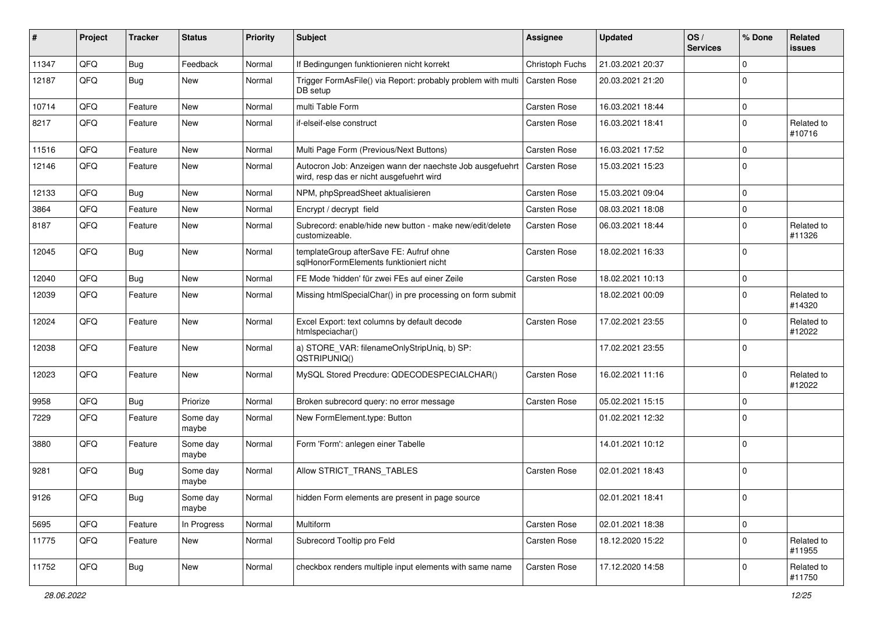| ∦     | Project | <b>Tracker</b> | <b>Status</b>     | <b>Priority</b> | <b>Subject</b>                                                                                       | Assignee            | <b>Updated</b>   | OS/<br><b>Services</b> | % Done         | Related<br><b>issues</b> |
|-------|---------|----------------|-------------------|-----------------|------------------------------------------------------------------------------------------------------|---------------------|------------------|------------------------|----------------|--------------------------|
| 11347 | QFQ     | Bug            | Feedback          | Normal          | If Bedingungen funktionieren nicht korrekt                                                           | Christoph Fuchs     | 21.03.2021 20:37 |                        | $\mathbf 0$    |                          |
| 12187 | QFQ     | Bug            | <b>New</b>        | Normal          | Trigger FormAsFile() via Report: probably problem with multi<br>DB setup                             | Carsten Rose        | 20.03.2021 21:20 |                        | $\mathbf 0$    |                          |
| 10714 | QFQ     | Feature        | New               | Normal          | multi Table Form                                                                                     | Carsten Rose        | 16.03.2021 18:44 |                        | $\mathbf 0$    |                          |
| 8217  | QFQ     | Feature        | <b>New</b>        | Normal          | if-elseif-else construct                                                                             | Carsten Rose        | 16.03.2021 18:41 |                        | $\mathbf 0$    | Related to<br>#10716     |
| 11516 | QFQ     | Feature        | <b>New</b>        | Normal          | Multi Page Form (Previous/Next Buttons)                                                              | Carsten Rose        | 16.03.2021 17:52 |                        | $\mathbf 0$    |                          |
| 12146 | QFQ     | Feature        | New               | Normal          | Autocron Job: Anzeigen wann der naechste Job ausgefuehrt<br>wird, resp das er nicht ausgefuehrt wird | <b>Carsten Rose</b> | 15.03.2021 15:23 |                        | $\mathbf 0$    |                          |
| 12133 | QFQ     | <b>Bug</b>     | New               | Normal          | NPM, phpSpreadSheet aktualisieren                                                                    | Carsten Rose        | 15.03.2021 09:04 |                        | $\mathbf 0$    |                          |
| 3864  | QFQ     | Feature        | <b>New</b>        | Normal          | Encrypt / decrypt field                                                                              | Carsten Rose        | 08.03.2021 18:08 |                        | $\mathbf 0$    |                          |
| 8187  | QFQ     | Feature        | New               | Normal          | Subrecord: enable/hide new button - make new/edit/delete<br>customizeable.                           | Carsten Rose        | 06.03.2021 18:44 |                        | $\mathbf 0$    | Related to<br>#11326     |
| 12045 | QFQ     | <b>Bug</b>     | <b>New</b>        | Normal          | templateGroup afterSave FE: Aufruf ohne<br>sqlHonorFormElements funktioniert nicht                   | Carsten Rose        | 18.02.2021 16:33 |                        | $\mathbf 0$    |                          |
| 12040 | QFQ     | <b>Bug</b>     | <b>New</b>        | Normal          | FE Mode 'hidden' für zwei FEs auf einer Zeile                                                        | Carsten Rose        | 18.02.2021 10:13 |                        | $\mathbf 0$    |                          |
| 12039 | QFQ     | Feature        | <b>New</b>        | Normal          | Missing htmlSpecialChar() in pre processing on form submit                                           |                     | 18.02.2021 00:09 |                        | $\Omega$       | Related to<br>#14320     |
| 12024 | QFQ     | Feature        | <b>New</b>        | Normal          | Excel Export: text columns by default decode<br>htmlspeciachar()                                     | Carsten Rose        | 17.02.2021 23:55 |                        | $\mathbf 0$    | Related to<br>#12022     |
| 12038 | QFQ     | Feature        | New               | Normal          | a) STORE_VAR: filenameOnlyStripUniq, b) SP:<br>QSTRIPUNIQ()                                          |                     | 17.02.2021 23:55 |                        | $\mathbf 0$    |                          |
| 12023 | QFQ     | Feature        | <b>New</b>        | Normal          | MySQL Stored Precdure: QDECODESPECIALCHAR()                                                          | Carsten Rose        | 16.02.2021 11:16 |                        | $\mathbf 0$    | Related to<br>#12022     |
| 9958  | QFQ     | <b>Bug</b>     | Priorize          | Normal          | Broken subrecord query: no error message                                                             | Carsten Rose        | 05.02.2021 15:15 |                        | $\mathbf 0$    |                          |
| 7229  | QFQ     | Feature        | Some day<br>maybe | Normal          | New FormElement.type: Button                                                                         |                     | 01.02.2021 12:32 |                        | $\mathbf 0$    |                          |
| 3880  | QFQ     | Feature        | Some day<br>maybe | Normal          | Form 'Form': anlegen einer Tabelle                                                                   |                     | 14.01.2021 10:12 |                        | $\mathbf 0$    |                          |
| 9281  | QFQ     | <b>Bug</b>     | Some day<br>maybe | Normal          | Allow STRICT_TRANS_TABLES                                                                            | Carsten Rose        | 02.01.2021 18:43 |                        | $\mathbf 0$    |                          |
| 9126  | QFQ     | <b>Bug</b>     | Some day<br>maybe | Normal          | hidden Form elements are present in page source                                                      |                     | 02.01.2021 18:41 |                        | $\overline{0}$ |                          |
| 5695  | QFQ     | Feature        | In Progress       | Normal          | Multiform                                                                                            | Carsten Rose        | 02.01.2021 18:38 |                        | $\pmb{0}$      |                          |
| 11775 | QFQ     | Feature        | New               | Normal          | Subrecord Tooltip pro Feld                                                                           | Carsten Rose        | 18.12.2020 15:22 |                        | $\mathbf 0$    | Related to<br>#11955     |
| 11752 | QFQ     | Bug            | New               | Normal          | checkbox renders multiple input elements with same name                                              | Carsten Rose        | 17.12.2020 14:58 |                        | $\pmb{0}$      | Related to<br>#11750     |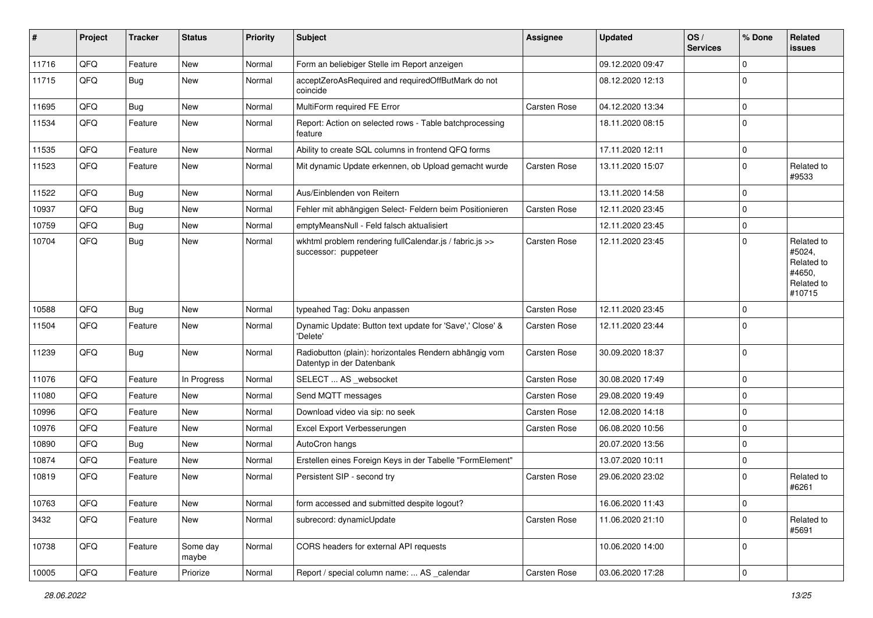| $\sharp$ | Project | <b>Tracker</b> | <b>Status</b>     | <b>Priority</b> | <b>Subject</b>                                                                      | <b>Assignee</b>     | <b>Updated</b>   | OS/<br><b>Services</b> | % Done      | Related<br><b>issues</b>                                             |
|----------|---------|----------------|-------------------|-----------------|-------------------------------------------------------------------------------------|---------------------|------------------|------------------------|-------------|----------------------------------------------------------------------|
| 11716    | QFQ     | Feature        | <b>New</b>        | Normal          | Form an beliebiger Stelle im Report anzeigen                                        |                     | 09.12.2020 09:47 |                        | $\mathbf 0$ |                                                                      |
| 11715    | QFQ     | Bug            | New               | Normal          | acceptZeroAsRequired and requiredOffButMark do not<br>coincide                      |                     | 08.12.2020 12:13 |                        | $\mathbf 0$ |                                                                      |
| 11695    | QFQ     | Bug            | <b>New</b>        | Normal          | MultiForm required FE Error                                                         | Carsten Rose        | 04.12.2020 13:34 |                        | $\mathbf 0$ |                                                                      |
| 11534    | QFQ     | Feature        | New               | Normal          | Report: Action on selected rows - Table batchprocessing<br>feature                  |                     | 18.11.2020 08:15 |                        | $\Omega$    |                                                                      |
| 11535    | QFQ     | Feature        | <b>New</b>        | Normal          | Ability to create SQL columns in frontend QFQ forms                                 |                     | 17.11.2020 12:11 |                        | $\mathbf 0$ |                                                                      |
| 11523    | QFQ     | Feature        | New               | Normal          | Mit dynamic Update erkennen, ob Upload gemacht wurde                                | Carsten Rose        | 13.11.2020 15:07 |                        | $\mathbf 0$ | Related to<br>#9533                                                  |
| 11522    | QFQ     | <b>Bug</b>     | <b>New</b>        | Normal          | Aus/Einblenden von Reitern                                                          |                     | 13.11.2020 14:58 |                        | $\mathbf 0$ |                                                                      |
| 10937    | QFQ     | <b>Bug</b>     | <b>New</b>        | Normal          | Fehler mit abhängigen Select- Feldern beim Positionieren                            | Carsten Rose        | 12.11.2020 23:45 |                        | $\mathbf 0$ |                                                                      |
| 10759    | QFQ     | Bug            | <b>New</b>        | Normal          | emptyMeansNull - Feld falsch aktualisiert                                           |                     | 12.11.2020 23:45 |                        | $\mathbf 0$ |                                                                      |
| 10704    | QFQ     | Bug            | New               | Normal          | wkhtml problem rendering fullCalendar.js / fabric.js >><br>successor: puppeteer     | Carsten Rose        | 12.11.2020 23:45 |                        | $\mathbf 0$ | Related to<br>#5024,<br>Related to<br>#4650,<br>Related to<br>#10715 |
| 10588    | QFQ     | Bug            | <b>New</b>        | Normal          | typeahed Tag: Doku anpassen                                                         | Carsten Rose        | 12.11.2020 23:45 |                        | $\mathbf 0$ |                                                                      |
| 11504    | QFQ     | Feature        | New               | Normal          | Dynamic Update: Button text update for 'Save',' Close' &<br>'Delete'                | <b>Carsten Rose</b> | 12.11.2020 23:44 |                        | $\Omega$    |                                                                      |
| 11239    | QFQ     | Bug            | New               | Normal          | Radiobutton (plain): horizontales Rendern abhängig vom<br>Datentyp in der Datenbank | Carsten Rose        | 30.09.2020 18:37 |                        | $\mathbf 0$ |                                                                      |
| 11076    | QFQ     | Feature        | In Progress       | Normal          | SELECT  AS websocket                                                                | Carsten Rose        | 30.08.2020 17:49 |                        | $\mathbf 0$ |                                                                      |
| 11080    | QFQ     | Feature        | New               | Normal          | Send MQTT messages                                                                  | Carsten Rose        | 29.08.2020 19:49 |                        | $\mathbf 0$ |                                                                      |
| 10996    | QFQ     | Feature        | New               | Normal          | Download video via sip: no seek                                                     | Carsten Rose        | 12.08.2020 14:18 |                        | $\mathbf 0$ |                                                                      |
| 10976    | QFQ     | Feature        | New               | Normal          | Excel Export Verbesserungen                                                         | Carsten Rose        | 06.08.2020 10:56 |                        | $\mathbf 0$ |                                                                      |
| 10890    | QFQ     | <b>Bug</b>     | <b>New</b>        | Normal          | AutoCron hangs                                                                      |                     | 20.07.2020 13:56 |                        | $\mathbf 0$ |                                                                      |
| 10874    | QFQ     | Feature        | New               | Normal          | Erstellen eines Foreign Keys in der Tabelle "FormElement"                           |                     | 13.07.2020 10:11 |                        | $\mathbf 0$ |                                                                      |
| 10819    | QFQ     | Feature        | New               | Normal          | Persistent SIP - second try                                                         | Carsten Rose        | 29.06.2020 23:02 |                        | $\Omega$    | Related to<br>#6261                                                  |
| 10763    | QFQ     | Feature        | New               | Normal          | form accessed and submitted despite logout?                                         |                     | 16.06.2020 11:43 |                        | $\pmb{0}$   |                                                                      |
| 3432     | QFQ     | Feature        | New               | Normal          | subrecord: dynamicUpdate                                                            | Carsten Rose        | 11.06.2020 21:10 |                        | $\mathbf 0$ | Related to<br>#5691                                                  |
| 10738    | QFQ     | Feature        | Some day<br>maybe | Normal          | CORS headers for external API requests                                              |                     | 10.06.2020 14:00 |                        | $\mathbf 0$ |                                                                      |
| 10005    | QFQ     | Feature        | Priorize          | Normal          | Report / special column name:  AS calendar                                          | Carsten Rose        | 03.06.2020 17:28 |                        | $\pmb{0}$   |                                                                      |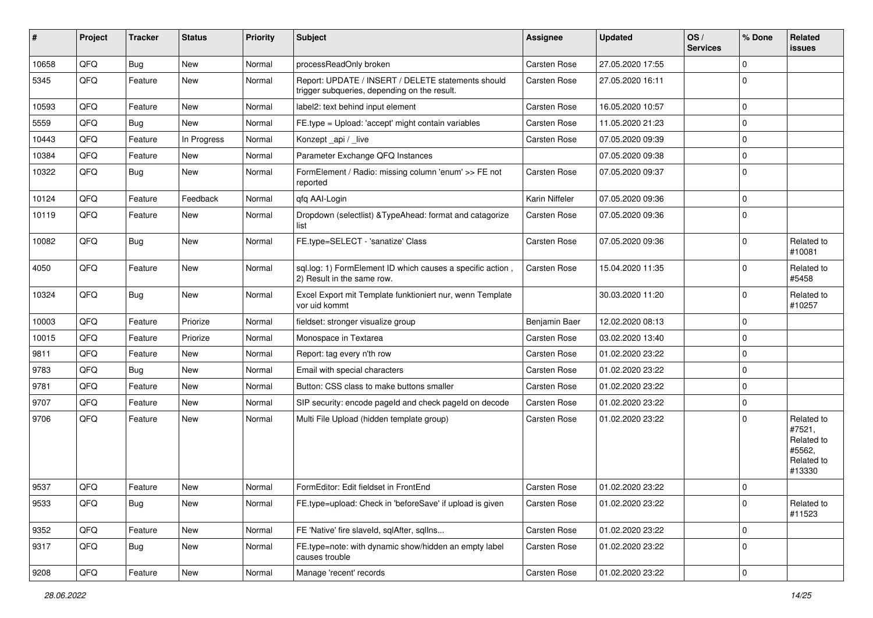| ∦     | Project | <b>Tracker</b> | <b>Status</b> | <b>Priority</b> | <b>Subject</b>                                                                                     | Assignee       | <b>Updated</b>   | OS/<br><b>Services</b> | % Done      | Related<br><b>issues</b>                                             |
|-------|---------|----------------|---------------|-----------------|----------------------------------------------------------------------------------------------------|----------------|------------------|------------------------|-------------|----------------------------------------------------------------------|
| 10658 | QFQ     | Bug            | New           | Normal          | processReadOnly broken                                                                             | Carsten Rose   | 27.05.2020 17:55 |                        | $\mathbf 0$ |                                                                      |
| 5345  | QFQ     | Feature        | <b>New</b>    | Normal          | Report: UPDATE / INSERT / DELETE statements should<br>trigger subqueries, depending on the result. | Carsten Rose   | 27.05.2020 16:11 |                        | $\mathbf 0$ |                                                                      |
| 10593 | QFQ     | Feature        | <b>New</b>    | Normal          | label2: text behind input element                                                                  | Carsten Rose   | 16.05.2020 10:57 |                        | $\mathbf 0$ |                                                                      |
| 5559  | QFQ     | Bug            | <b>New</b>    | Normal          | FE.type = Upload: 'accept' might contain variables                                                 | Carsten Rose   | 11.05.2020 21:23 |                        | $\mathbf 0$ |                                                                      |
| 10443 | QFQ     | Feature        | In Progress   | Normal          | Konzept_api / _live                                                                                | Carsten Rose   | 07.05.2020 09:39 |                        | $\mathbf 0$ |                                                                      |
| 10384 | QFQ     | Feature        | <b>New</b>    | Normal          | Parameter Exchange QFQ Instances                                                                   |                | 07.05.2020 09:38 |                        | $\mathbf 0$ |                                                                      |
| 10322 | QFQ     | Bug            | <b>New</b>    | Normal          | FormElement / Radio: missing column 'enum' >> FE not<br>reported                                   | Carsten Rose   | 07.05.2020 09:37 |                        | $\mathbf 0$ |                                                                      |
| 10124 | QFQ     | Feature        | Feedback      | Normal          | gfg AAI-Login                                                                                      | Karin Niffeler | 07.05.2020 09:36 |                        | $\mathbf 0$ |                                                                      |
| 10119 | QFQ     | Feature        | New           | Normal          | Dropdown (selectlist) & TypeAhead: format and catagorize<br>list                                   | Carsten Rose   | 07.05.2020 09:36 |                        | $\mathbf 0$ |                                                                      |
| 10082 | QFQ     | Bug            | New           | Normal          | FE.type=SELECT - 'sanatize' Class                                                                  | Carsten Rose   | 07.05.2020 09:36 |                        | $\mathbf 0$ | Related to<br>#10081                                                 |
| 4050  | QFQ     | Feature        | New           | Normal          | sql.log: 1) FormElement ID which causes a specific action,<br>2) Result in the same row.           | Carsten Rose   | 15.04.2020 11:35 |                        | $\mathbf 0$ | Related to<br>#5458                                                  |
| 10324 | QFQ     | <b>Bug</b>     | New           | Normal          | Excel Export mit Template funktioniert nur, wenn Template<br>vor uid kommt                         |                | 30.03.2020 11:20 |                        | $\mathbf 0$ | Related to<br>#10257                                                 |
| 10003 | QFQ     | Feature        | Priorize      | Normal          | fieldset: stronger visualize group                                                                 | Benjamin Baer  | 12.02.2020 08:13 |                        | $\mathbf 0$ |                                                                      |
| 10015 | QFQ     | Feature        | Priorize      | Normal          | Monospace in Textarea                                                                              | Carsten Rose   | 03.02.2020 13:40 |                        | $\mathbf 0$ |                                                                      |
| 9811  | QFQ     | Feature        | New           | Normal          | Report: tag every n'th row                                                                         | Carsten Rose   | 01.02.2020 23:22 |                        | $\mathbf 0$ |                                                                      |
| 9783  | QFQ     | Bug            | <b>New</b>    | Normal          | Email with special characters                                                                      | Carsten Rose   | 01.02.2020 23:22 |                        | $\mathbf 0$ |                                                                      |
| 9781  | QFQ     | Feature        | <b>New</b>    | Normal          | Button: CSS class to make buttons smaller                                                          | Carsten Rose   | 01.02.2020 23:22 |                        | $\mathbf 0$ |                                                                      |
| 9707  | QFQ     | Feature        | <b>New</b>    | Normal          | SIP security: encode pageld and check pageld on decode                                             | Carsten Rose   | 01.02.2020 23:22 |                        | $\mathbf 0$ |                                                                      |
| 9706  | QFQ     | Feature        | New           | Normal          | Multi File Upload (hidden template group)                                                          | Carsten Rose   | 01.02.2020 23:22 |                        | $\mathbf 0$ | Related to<br>#7521,<br>Related to<br>#5562,<br>Related to<br>#13330 |
| 9537  | QFQ     | Feature        | New           | Normal          | FormEditor: Edit fieldset in FrontEnd                                                              | Carsten Rose   | 01.02.2020 23:22 |                        | 0           |                                                                      |
| 9533  | QFQ     | <b>Bug</b>     | New           | Normal          | FE.type=upload: Check in 'beforeSave' if upload is given                                           | Carsten Rose   | 01.02.2020 23:22 |                        | $\pmb{0}$   | Related to<br>#11523                                                 |
| 9352  | QFQ     | Feature        | New           | Normal          | FE 'Native' fire slaveld, sqlAfter, sqlIns                                                         | Carsten Rose   | 01.02.2020 23:22 |                        | $\mathbf 0$ |                                                                      |
| 9317  | QFQ     | <b>Bug</b>     | New           | Normal          | FE.type=note: with dynamic show/hidden an empty label<br>causes trouble                            | Carsten Rose   | 01.02.2020 23:22 |                        | 0           |                                                                      |
| 9208  | QFG     | Feature        | New           | Normal          | Manage 'recent' records                                                                            | Carsten Rose   | 01.02.2020 23:22 |                        | $\pmb{0}$   |                                                                      |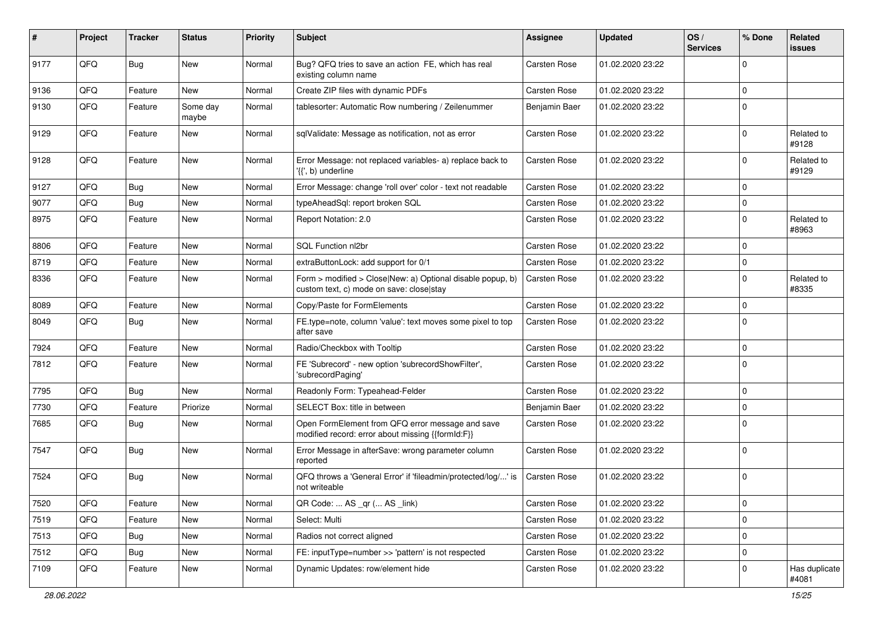| ∦    | Project | <b>Tracker</b> | <b>Status</b>     | <b>Priority</b> | <b>Subject</b>                                                                                         | <b>Assignee</b> | <b>Updated</b>   | OS/<br><b>Services</b> | % Done      | <b>Related</b><br>issues |
|------|---------|----------------|-------------------|-----------------|--------------------------------------------------------------------------------------------------------|-----------------|------------------|------------------------|-------------|--------------------------|
| 9177 | QFQ     | <b>Bug</b>     | <b>New</b>        | Normal          | Bug? QFQ tries to save an action FE, which has real<br>existing column name                            | Carsten Rose    | 01.02.2020 23:22 |                        | 0           |                          |
| 9136 | QFQ     | Feature        | New               | Normal          | Create ZIP files with dynamic PDFs                                                                     | Carsten Rose    | 01.02.2020 23:22 |                        | $\mathbf 0$ |                          |
| 9130 | QFQ     | Feature        | Some day<br>maybe | Normal          | tablesorter: Automatic Row numbering / Zeilenummer                                                     | Benjamin Baer   | 01.02.2020 23:22 |                        | $\Omega$    |                          |
| 9129 | QFQ     | Feature        | New               | Normal          | sqlValidate: Message as notification, not as error                                                     | Carsten Rose    | 01.02.2020 23:22 |                        | $\mathbf 0$ | Related to<br>#9128      |
| 9128 | QFQ     | Feature        | New               | Normal          | Error Message: not replaced variables- a) replace back to<br>'{{', b) underline                        | Carsten Rose    | 01.02.2020 23:22 |                        | 0           | Related to<br>#9129      |
| 9127 | QFQ     | Bug            | New               | Normal          | Error Message: change 'roll over' color - text not readable                                            | Carsten Rose    | 01.02.2020 23:22 |                        | $\mathbf 0$ |                          |
| 9077 | QFQ     | Bug            | New               | Normal          | typeAheadSql: report broken SQL                                                                        | Carsten Rose    | 01.02.2020 23:22 |                        | 0           |                          |
| 8975 | QFQ     | Feature        | New               | Normal          | Report Notation: 2.0                                                                                   | Carsten Rose    | 01.02.2020 23:22 |                        | $\mathbf 0$ | Related to<br>#8963      |
| 8806 | QFQ     | Feature        | New               | Normal          | SQL Function nl2br                                                                                     | Carsten Rose    | 01.02.2020 23:22 |                        | $\mathbf 0$ |                          |
| 8719 | QFQ     | Feature        | New               | Normal          | extraButtonLock: add support for 0/1                                                                   | Carsten Rose    | 01.02.2020 23:22 |                        | 0           |                          |
| 8336 | QFQ     | Feature        | New               | Normal          | Form > modified > Close New: a) Optional disable popup, b)<br>custom text, c) mode on save: close stay | Carsten Rose    | 01.02.2020 23:22 |                        | $\mathbf 0$ | Related to<br>#8335      |
| 8089 | QFQ     | Feature        | New               | Normal          | Copy/Paste for FormElements                                                                            | Carsten Rose    | 01.02.2020 23:22 |                        | $\mathbf 0$ |                          |
| 8049 | QFQ     | Bug            | New               | Normal          | FE.type=note, column 'value': text moves some pixel to top<br>after save                               | Carsten Rose    | 01.02.2020 23:22 |                        | $\mathbf 0$ |                          |
| 7924 | QFQ     | Feature        | New               | Normal          | Radio/Checkbox with Tooltip                                                                            | Carsten Rose    | 01.02.2020 23:22 |                        | 0           |                          |
| 7812 | QFQ     | Feature        | New               | Normal          | FE 'Subrecord' - new option 'subrecordShowFilter',<br>'subrecordPaging'                                | Carsten Rose    | 01.02.2020 23:22 |                        | $\mathbf 0$ |                          |
| 7795 | QFQ     | <b>Bug</b>     | <b>New</b>        | Normal          | Readonly Form: Typeahead-Felder                                                                        | Carsten Rose    | 01.02.2020 23:22 |                        | $\mathbf 0$ |                          |
| 7730 | QFQ     | Feature        | Priorize          | Normal          | SELECT Box: title in between                                                                           | Benjamin Baer   | 01.02.2020 23:22 |                        | $\pmb{0}$   |                          |
| 7685 | QFQ     | <b>Bug</b>     | New               | Normal          | Open FormElement from QFQ error message and save<br>modified record: error about missing {{formId:F}}  | Carsten Rose    | 01.02.2020 23:22 |                        | $\mathbf 0$ |                          |
| 7547 | QFQ     | <b>Bug</b>     | <b>New</b>        | Normal          | Error Message in afterSave: wrong parameter column<br>reported                                         | Carsten Rose    | 01.02.2020 23:22 |                        | $\mathbf 0$ |                          |
| 7524 | QFQ     | <b>Bug</b>     | New               | Normal          | QFQ throws a 'General Error' if 'fileadmin/protected/log/' is<br>not writeable                         | Carsten Rose    | 01.02.2020 23:22 |                        | $\mathbf 0$ |                          |
| 7520 | QFQ     | Feature        | New               | Normal          | QR Code:  AS _qr ( AS _link)                                                                           | Carsten Rose    | 01.02.2020 23:22 |                        | $\mathbf 0$ |                          |
| 7519 | QFQ     | Feature        | New               | Normal          | Select: Multi                                                                                          | Carsten Rose    | 01.02.2020 23:22 |                        | $\pmb{0}$   |                          |
| 7513 | QFQ     | <b>Bug</b>     | New               | Normal          | Radios not correct aligned                                                                             | Carsten Rose    | 01.02.2020 23:22 |                        | $\pmb{0}$   |                          |
| 7512 | QFQ     | <b>Bug</b>     | New               | Normal          | FE: inputType=number >> 'pattern' is not respected                                                     | Carsten Rose    | 01.02.2020 23:22 |                        | 0           |                          |
| 7109 | QFQ     | Feature        | New               | Normal          | Dynamic Updates: row/element hide                                                                      | Carsten Rose    | 01.02.2020 23:22 |                        | 0           | Has duplicate<br>#4081   |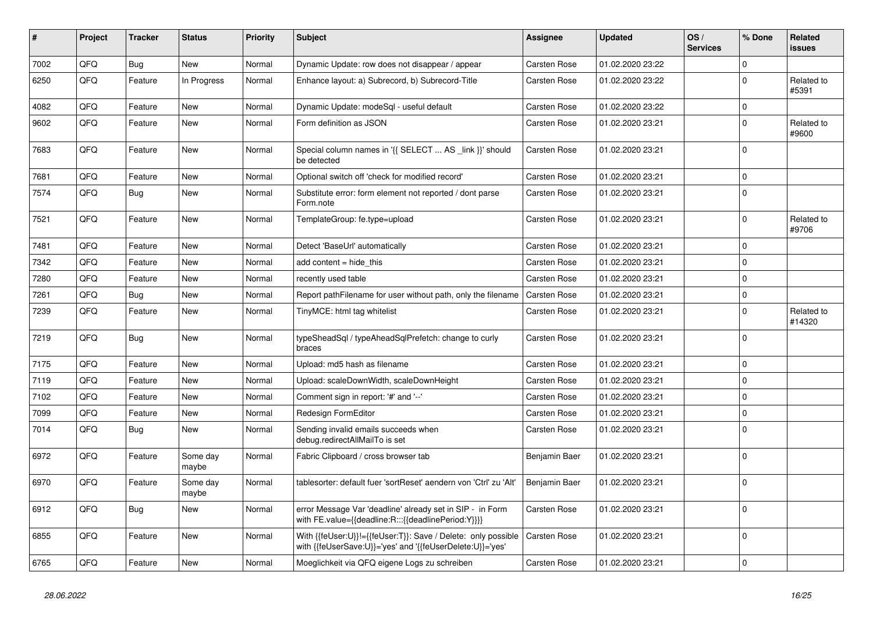| #    | Project | <b>Tracker</b> | <b>Status</b>     | <b>Priority</b> | <b>Subject</b>                                                                                                             | Assignee            | <b>Updated</b>   | OS/<br><b>Services</b> | % Done      | Related<br>issues    |
|------|---------|----------------|-------------------|-----------------|----------------------------------------------------------------------------------------------------------------------------|---------------------|------------------|------------------------|-------------|----------------------|
| 7002 | QFQ     | <b>Bug</b>     | <b>New</b>        | Normal          | Dynamic Update: row does not disappear / appear                                                                            | Carsten Rose        | 01.02.2020 23:22 |                        | $\mathbf 0$ |                      |
| 6250 | QFQ     | Feature        | In Progress       | Normal          | Enhance layout: a) Subrecord, b) Subrecord-Title                                                                           | <b>Carsten Rose</b> | 01.02.2020 23:22 |                        | $\Omega$    | Related to<br>#5391  |
| 4082 | QFQ     | Feature        | <b>New</b>        | Normal          | Dynamic Update: modeSql - useful default                                                                                   | Carsten Rose        | 01.02.2020 23:22 |                        | $\Omega$    |                      |
| 9602 | QFQ     | Feature        | New               | Normal          | Form definition as JSON                                                                                                    | <b>Carsten Rose</b> | 01.02.2020 23:21 |                        | $\Omega$    | Related to<br>#9600  |
| 7683 | QFQ     | Feature        | New               | Normal          | Special column names in '{{ SELECT  AS _link }}' should<br>be detected                                                     | Carsten Rose        | 01.02.2020 23:21 |                        | $\Omega$    |                      |
| 7681 | QFQ     | Feature        | <b>New</b>        | Normal          | Optional switch off 'check for modified record'                                                                            | Carsten Rose        | 01.02.2020 23:21 |                        | $\Omega$    |                      |
| 7574 | QFQ     | <b>Bug</b>     | <b>New</b>        | Normal          | Substitute error: form element not reported / dont parse<br>Form.note                                                      | Carsten Rose        | 01.02.2020 23:21 |                        | $\Omega$    |                      |
| 7521 | QFQ     | Feature        | <b>New</b>        | Normal          | TemplateGroup: fe.type=upload                                                                                              | <b>Carsten Rose</b> | 01.02.2020 23:21 |                        | $\mathbf 0$ | Related to<br>#9706  |
| 7481 | QFQ     | Feature        | <b>New</b>        | Normal          | Detect 'BaseUrl' automatically                                                                                             | <b>Carsten Rose</b> | 01.02.2020 23:21 |                        | $\mathbf 0$ |                      |
| 7342 | QFQ     | Feature        | New               | Normal          | add content = hide this                                                                                                    | Carsten Rose        | 01.02.2020 23:21 |                        | $\Omega$    |                      |
| 7280 | QFQ     | Feature        | <b>New</b>        | Normal          | recently used table                                                                                                        | Carsten Rose        | 01.02.2020 23:21 |                        | 0           |                      |
| 7261 | QFQ     | <b>Bug</b>     | <b>New</b>        | Normal          | Report pathFilename for user without path, only the filename                                                               | <b>Carsten Rose</b> | 01.02.2020 23:21 |                        | $\Omega$    |                      |
| 7239 | QFQ     | Feature        | New               | Normal          | TinyMCE: html tag whitelist                                                                                                | <b>Carsten Rose</b> | 01.02.2020 23:21 |                        | $\Omega$    | Related to<br>#14320 |
| 7219 | QFQ     | Bug            | <b>New</b>        | Normal          | typeSheadSql / typeAheadSqlPrefetch: change to curly<br>braces                                                             | Carsten Rose        | 01.02.2020 23:21 |                        | $\Omega$    |                      |
| 7175 | QFQ     | Feature        | <b>New</b>        | Normal          | Upload: md5 hash as filename                                                                                               | <b>Carsten Rose</b> | 01.02.2020 23:21 |                        | $\Omega$    |                      |
| 7119 | QFQ     | Feature        | <b>New</b>        | Normal          | Upload: scaleDownWidth, scaleDownHeight                                                                                    | Carsten Rose        | 01.02.2020 23:21 |                        | $\Omega$    |                      |
| 7102 | QFQ     | Feature        | <b>New</b>        | Normal          | Comment sign in report: '#' and '--'                                                                                       | Carsten Rose        | 01.02.2020 23:21 |                        | $\Omega$    |                      |
| 7099 | QFQ     | Feature        | New               | Normal          | Redesign FormEditor                                                                                                        | Carsten Rose        | 01.02.2020 23:21 |                        | $\mathbf 0$ |                      |
| 7014 | QFQ     | <b>Bug</b>     | <b>New</b>        | Normal          | Sending invalid emails succeeds when<br>debug.redirectAllMailTo is set                                                     | <b>Carsten Rose</b> | 01.02.2020 23:21 |                        | $\Omega$    |                      |
| 6972 | QFQ     | Feature        | Some day<br>maybe | Normal          | Fabric Clipboard / cross browser tab                                                                                       | Benjamin Baer       | 01.02.2020 23:21 |                        | $\Omega$    |                      |
| 6970 | QFQ     | Feature        | Some day<br>maybe | Normal          | tablesorter: default fuer 'sortReset' aendern von 'Ctrl' zu 'Alt'                                                          | Benjamin Baer       | 01.02.2020 23:21 |                        | $\Omega$    |                      |
| 6912 | QFQ     | Bug            | <b>New</b>        | Normal          | error Message Var 'deadline' already set in SIP - in Form<br>with FE.value={{deadline:R:::{{deadlinePeriod:Y}}}}           | <b>Carsten Rose</b> | 01.02.2020 23:21 |                        | $\Omega$    |                      |
| 6855 | QFQ     | Feature        | New               | Normal          | With {{feUser:U}}!={{feUser:T}}: Save / Delete: only possible<br>with {{feUserSave:U}}='yes' and '{{feUserDelete:U}}='yes' | Carsten Rose        | 01.02.2020 23:21 |                        | $\mathbf 0$ |                      |
| 6765 | QFQ     | Feature        | New               | Normal          | Moeglichkeit via QFQ eigene Logs zu schreiben                                                                              | <b>Carsten Rose</b> | 01.02.2020 23:21 |                        | $\Omega$    |                      |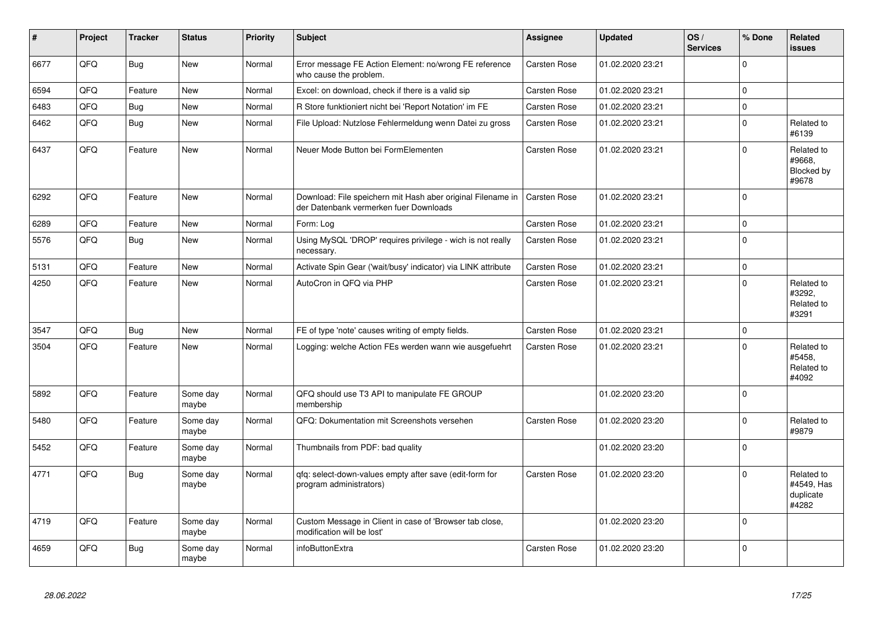| $\pmb{\sharp}$ | Project | <b>Tracker</b> | <b>Status</b>     | <b>Priority</b> | <b>Subject</b>                                                                                        | <b>Assignee</b> | <b>Updated</b>   | OS/<br><b>Services</b> | % Done      | Related<br><b>issues</b>                       |
|----------------|---------|----------------|-------------------|-----------------|-------------------------------------------------------------------------------------------------------|-----------------|------------------|------------------------|-------------|------------------------------------------------|
| 6677           | QFQ     | Bug            | <b>New</b>        | Normal          | Error message FE Action Element: no/wrong FE reference<br>who cause the problem.                      | Carsten Rose    | 01.02.2020 23:21 |                        | $\Omega$    |                                                |
| 6594           | QFQ     | Feature        | <b>New</b>        | Normal          | Excel: on download, check if there is a valid sip                                                     | Carsten Rose    | 01.02.2020 23:21 |                        | $\Omega$    |                                                |
| 6483           | QFQ     | <b>Bug</b>     | New               | Normal          | R Store funktioniert nicht bei 'Report Notation' im FE                                                | Carsten Rose    | 01.02.2020 23:21 |                        | $\mathbf 0$ |                                                |
| 6462           | QFQ     | Bug            | <b>New</b>        | Normal          | File Upload: Nutzlose Fehlermeldung wenn Datei zu gross                                               | Carsten Rose    | 01.02.2020 23:21 |                        | $\Omega$    | Related to<br>#6139                            |
| 6437           | QFQ     | Feature        | <b>New</b>        | Normal          | Neuer Mode Button bei FormElementen                                                                   | Carsten Rose    | 01.02.2020 23:21 |                        | $\mathbf 0$ | Related to<br>#9668.<br>Blocked by<br>#9678    |
| 6292           | QFQ     | Feature        | <b>New</b>        | Normal          | Download: File speichern mit Hash aber original Filename in<br>der Datenbank vermerken fuer Downloads | Carsten Rose    | 01.02.2020 23:21 |                        | $\Omega$    |                                                |
| 6289           | QFQ     | Feature        | <b>New</b>        | Normal          | Form: Loa                                                                                             | Carsten Rose    | 01.02.2020 23:21 |                        | $\Omega$    |                                                |
| 5576           | QFQ     | <b>Bug</b>     | New               | Normal          | Using MySQL 'DROP' requires privilege - wich is not really<br>necessary.                              | Carsten Rose    | 01.02.2020 23:21 |                        | $\mathbf 0$ |                                                |
| 5131           | QFQ     | Feature        | <b>New</b>        | Normal          | Activate Spin Gear ('wait/busy' indicator) via LINK attribute                                         | Carsten Rose    | 01.02.2020 23:21 |                        | $\mathbf 0$ |                                                |
| 4250           | QFQ     | Feature        | <b>New</b>        | Normal          | AutoCron in QFQ via PHP                                                                               | Carsten Rose    | 01.02.2020 23:21 |                        | $\Omega$    | Related to<br>#3292.<br>Related to<br>#3291    |
| 3547           | QFQ     | Bug            | <b>New</b>        | Normal          | FE of type 'note' causes writing of empty fields.                                                     | Carsten Rose    | 01.02.2020 23:21 |                        | $\mathbf 0$ |                                                |
| 3504           | QFQ     | Feature        | New               | Normal          | Logging: welche Action FEs werden wann wie ausgefuehrt                                                | Carsten Rose    | 01.02.2020 23:21 |                        | $\Omega$    | Related to<br>#5458.<br>Related to<br>#4092    |
| 5892           | QFQ     | Feature        | Some day<br>maybe | Normal          | QFQ should use T3 API to manipulate FE GROUP<br>membership                                            |                 | 01.02.2020 23:20 |                        | $\Omega$    |                                                |
| 5480           | QFQ     | Feature        | Some day<br>maybe | Normal          | QFQ: Dokumentation mit Screenshots versehen                                                           | Carsten Rose    | 01.02.2020 23:20 |                        | $\mathbf 0$ | Related to<br>#9879                            |
| 5452           | QFQ     | Feature        | Some day<br>maybe | Normal          | Thumbnails from PDF: bad quality                                                                      |                 | 01.02.2020 23:20 |                        | $\Omega$    |                                                |
| 4771           | QFQ     | <b>Bug</b>     | Some day<br>maybe | Normal          | qfq: select-down-values empty after save (edit-form for<br>program administrators)                    | Carsten Rose    | 01.02.2020 23:20 |                        | $\Omega$    | Related to<br>#4549, Has<br>duplicate<br>#4282 |
| 4719           | QFQ     | Feature        | Some day<br>maybe | Normal          | Custom Message in Client in case of 'Browser tab close,<br>modification will be lost'                 |                 | 01.02.2020 23:20 |                        | $\mathbf 0$ |                                                |
| 4659           | QFQ     | Bug            | Some day<br>maybe | Normal          | infoButtonExtra                                                                                       | Carsten Rose    | 01.02.2020 23:20 |                        | $\mathbf 0$ |                                                |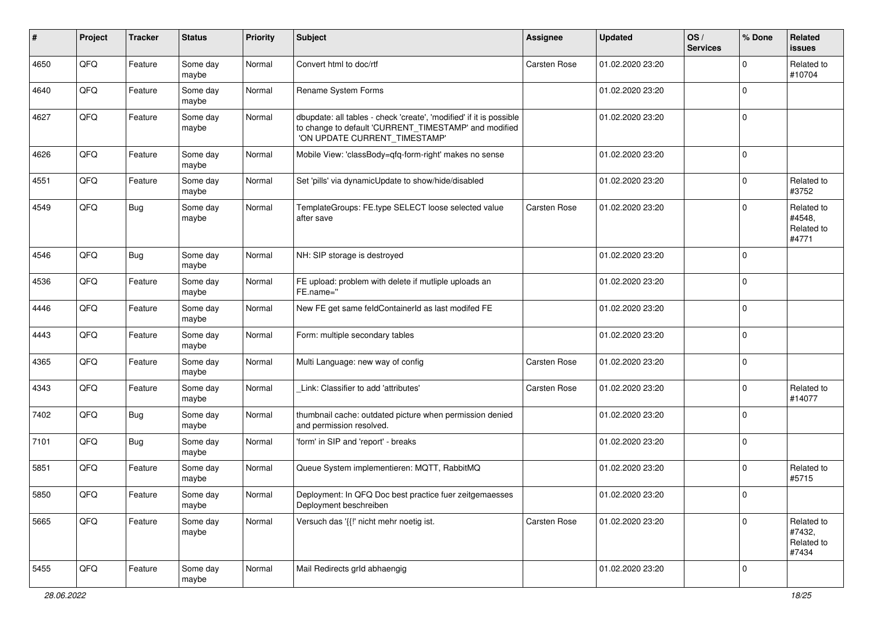| #    | Project | <b>Tracker</b> | <b>Status</b>     | <b>Priority</b> | <b>Subject</b>                                                                                                                                                | <b>Assignee</b> | <b>Updated</b>   | OS/<br><b>Services</b> | % Done      | Related<br>issues                           |
|------|---------|----------------|-------------------|-----------------|---------------------------------------------------------------------------------------------------------------------------------------------------------------|-----------------|------------------|------------------------|-------------|---------------------------------------------|
| 4650 | QFQ     | Feature        | Some day<br>maybe | Normal          | Convert html to doc/rtf                                                                                                                                       | Carsten Rose    | 01.02.2020 23:20 |                        | $\mathbf 0$ | Related to<br>#10704                        |
| 4640 | QFQ     | Feature        | Some day<br>maybe | Normal          | Rename System Forms                                                                                                                                           |                 | 01.02.2020 23:20 |                        | $\Omega$    |                                             |
| 4627 | QFQ     | Feature        | Some day<br>maybe | Normal          | dbupdate: all tables - check 'create', 'modified' if it is possible<br>to change to default 'CURRENT_TIMESTAMP' and modified<br>'ON UPDATE CURRENT_TIMESTAMP' |                 | 01.02.2020 23:20 |                        | 0           |                                             |
| 4626 | QFQ     | Feature        | Some day<br>maybe | Normal          | Mobile View: 'classBody=qfq-form-right' makes no sense                                                                                                        |                 | 01.02.2020 23:20 |                        | 0           |                                             |
| 4551 | QFQ     | Feature        | Some day<br>maybe | Normal          | Set 'pills' via dynamicUpdate to show/hide/disabled                                                                                                           |                 | 01.02.2020 23:20 |                        | 0           | Related to<br>#3752                         |
| 4549 | QFQ     | <b>Bug</b>     | Some day<br>maybe | Normal          | TemplateGroups: FE.type SELECT loose selected value<br>after save                                                                                             | Carsten Rose    | 01.02.2020 23:20 |                        | $\Omega$    | Related to<br>#4548,<br>Related to<br>#4771 |
| 4546 | QFQ     | <b>Bug</b>     | Some day<br>maybe | Normal          | NH: SIP storage is destroyed                                                                                                                                  |                 | 01.02.2020 23:20 |                        | $\Omega$    |                                             |
| 4536 | QFQ     | Feature        | Some day<br>maybe | Normal          | FE upload: problem with delete if mutliple uploads an<br>FE.name="                                                                                            |                 | 01.02.2020 23:20 |                        | 0           |                                             |
| 4446 | QFQ     | Feature        | Some day<br>maybe | Normal          | New FE get same feldContainerId as last modifed FE                                                                                                            |                 | 01.02.2020 23:20 |                        | $\Omega$    |                                             |
| 4443 | QFQ     | Feature        | Some day<br>maybe | Normal          | Form: multiple secondary tables                                                                                                                               |                 | 01.02.2020 23:20 |                        | 0           |                                             |
| 4365 | QFQ     | Feature        | Some day<br>maybe | Normal          | Multi Language: new way of config                                                                                                                             | Carsten Rose    | 01.02.2020 23:20 |                        | $\pmb{0}$   |                                             |
| 4343 | QFQ     | Feature        | Some day<br>maybe | Normal          | Link: Classifier to add 'attributes'                                                                                                                          | Carsten Rose    | 01.02.2020 23:20 |                        | $\mathbf 0$ | Related to<br>#14077                        |
| 7402 | QFQ     | <b>Bug</b>     | Some day<br>maybe | Normal          | thumbnail cache: outdated picture when permission denied<br>and permission resolved.                                                                          |                 | 01.02.2020 23:20 |                        | 0           |                                             |
| 7101 | QFQ     | <b>Bug</b>     | Some day<br>maybe | Normal          | 'form' in SIP and 'report' - breaks                                                                                                                           |                 | 01.02.2020 23:20 |                        | $\Omega$    |                                             |
| 5851 | QFQ     | Feature        | Some day<br>maybe | Normal          | Queue System implementieren: MQTT, RabbitMQ                                                                                                                   |                 | 01.02.2020 23:20 |                        | 0           | Related to<br>#5715                         |
| 5850 | QFQ     | Feature        | Some day<br>maybe | Normal          | Deployment: In QFQ Doc best practice fuer zeitgemaesses<br>Deployment beschreiben                                                                             |                 | 01.02.2020 23:20 |                        | $\mathbf 0$ |                                             |
| 5665 | QFQ     | Feature        | Some day<br>maybe | Normal          | Versuch das '{{!' nicht mehr noetig ist.                                                                                                                      | Carsten Rose    | 01.02.2020 23:20 |                        | $\pmb{0}$   | Related to<br>#7432,<br>Related to<br>#7434 |
| 5455 | QFQ     | Feature        | Some day<br>maybe | Normal          | Mail Redirects grld abhaengig                                                                                                                                 |                 | 01.02.2020 23:20 |                        | $\pmb{0}$   |                                             |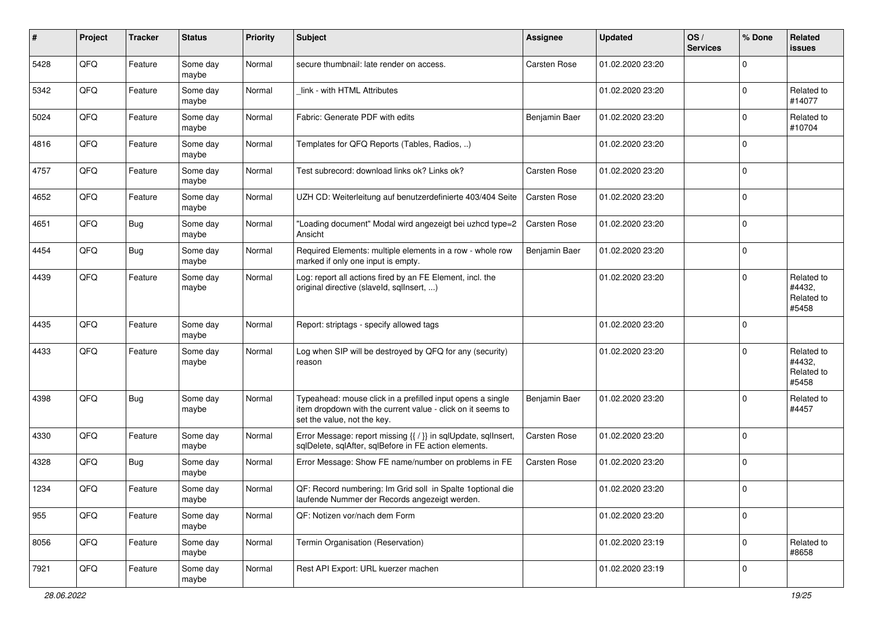| #    | Project | <b>Tracker</b> | <b>Status</b>     | <b>Priority</b> | <b>Subject</b>                                                                                                                                           | <b>Assignee</b> | <b>Updated</b>   | OS/<br><b>Services</b> | % Done    | Related<br>issues                           |
|------|---------|----------------|-------------------|-----------------|----------------------------------------------------------------------------------------------------------------------------------------------------------|-----------------|------------------|------------------------|-----------|---------------------------------------------|
| 5428 | QFQ     | Feature        | Some day<br>maybe | Normal          | secure thumbnail: late render on access.                                                                                                                 | Carsten Rose    | 01.02.2020 23:20 |                        | $\Omega$  |                                             |
| 5342 | QFQ     | Feature        | Some day<br>maybe | Normal          | link - with HTML Attributes                                                                                                                              |                 | 01.02.2020 23:20 |                        | $\Omega$  | Related to<br>#14077                        |
| 5024 | QFQ     | Feature        | Some day<br>maybe | Normal          | Fabric: Generate PDF with edits                                                                                                                          | Benjamin Baer   | 01.02.2020 23:20 |                        | $\Omega$  | Related to<br>#10704                        |
| 4816 | QFQ     | Feature        | Some day<br>maybe | Normal          | Templates for QFQ Reports (Tables, Radios, )                                                                                                             |                 | 01.02.2020 23:20 |                        | $\Omega$  |                                             |
| 4757 | QFQ     | Feature        | Some day<br>maybe | Normal          | Test subrecord: download links ok? Links ok?                                                                                                             | Carsten Rose    | 01.02.2020 23:20 |                        | $\Omega$  |                                             |
| 4652 | QFQ     | Feature        | Some day<br>maybe | Normal          | UZH CD: Weiterleitung auf benutzerdefinierte 403/404 Seite                                                                                               | Carsten Rose    | 01.02.2020 23:20 |                        | $\Omega$  |                                             |
| 4651 | QFQ     | <b>Bug</b>     | Some day<br>maybe | Normal          | "Loading document" Modal wird angezeigt bei uzhcd type=2<br>Ansicht                                                                                      | Carsten Rose    | 01.02.2020 23:20 |                        | $\Omega$  |                                             |
| 4454 | QFQ     | <b>Bug</b>     | Some day<br>maybe | Normal          | Required Elements: multiple elements in a row - whole row<br>marked if only one input is empty.                                                          | Benjamin Baer   | 01.02.2020 23:20 |                        | $\Omega$  |                                             |
| 4439 | QFQ     | Feature        | Some day<br>maybe | Normal          | Log: report all actions fired by an FE Element, incl. the<br>original directive (slaveld, sqllnsert, )                                                   |                 | 01.02.2020 23:20 |                        | $\Omega$  | Related to<br>#4432,<br>Related to<br>#5458 |
| 4435 | QFQ     | Feature        | Some day<br>maybe | Normal          | Report: striptags - specify allowed tags                                                                                                                 |                 | 01.02.2020 23:20 |                        | $\Omega$  |                                             |
| 4433 | QFQ     | Feature        | Some day<br>maybe | Normal          | Log when SIP will be destroyed by QFQ for any (security)<br>reason                                                                                       |                 | 01.02.2020 23:20 |                        | $\Omega$  | Related to<br>#4432,<br>Related to<br>#5458 |
| 4398 | QFQ     | <b>Bug</b>     | Some day<br>maybe | Normal          | Typeahead: mouse click in a prefilled input opens a single<br>item dropdown with the current value - click on it seems to<br>set the value, not the key. | Benjamin Baer   | 01.02.2020 23:20 |                        | $\Omega$  | Related to<br>#4457                         |
| 4330 | QFQ     | Feature        | Some day<br>maybe | Normal          | Error Message: report missing {{ / }} in sqlUpdate, sqlInsert,<br>sqlDelete, sqlAfter, sqlBefore in FE action elements.                                  | Carsten Rose    | 01.02.2020 23:20 |                        | $\Omega$  |                                             |
| 4328 | QFQ     | <b>Bug</b>     | Some day<br>maybe | Normal          | Error Message: Show FE name/number on problems in FE                                                                                                     | Carsten Rose    | 01.02.2020 23:20 |                        | $\Omega$  |                                             |
| 1234 | QFQ     | Feature        | Some day<br>maybe | Normal          | QF: Record numbering: Im Grid soll in Spalte 1 optional die<br>laufende Nummer der Records angezeigt werden.                                             |                 | 01.02.2020 23:20 |                        | $\Omega$  |                                             |
| 955  | QFQ     | Feature        | Some day<br>maybe | Normal          | QF: Notizen vor/nach dem Form                                                                                                                            |                 | 01.02.2020 23:20 |                        | $\Omega$  |                                             |
| 8056 | QFQ     | Feature        | Some day<br>maybe | Normal          | Termin Organisation (Reservation)                                                                                                                        |                 | 01.02.2020 23:19 |                        | $\pmb{0}$ | Related to<br>#8658                         |
| 7921 | QFQ     | Feature        | Some day<br>maybe | Normal          | Rest API Export: URL kuerzer machen                                                                                                                      |                 | 01.02.2020 23:19 |                        | 0         |                                             |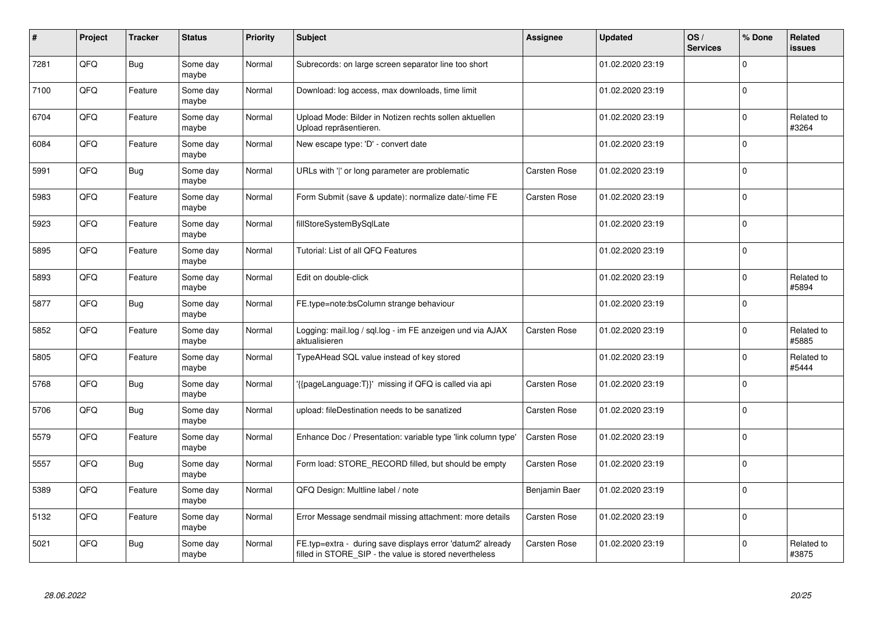| #    | Project | <b>Tracker</b> | <b>Status</b>     | <b>Priority</b> | <b>Subject</b>                                                                                                       | <b>Assignee</b> | <b>Updated</b>   | OS/<br><b>Services</b> | % Done      | Related<br><b>issues</b> |
|------|---------|----------------|-------------------|-----------------|----------------------------------------------------------------------------------------------------------------------|-----------------|------------------|------------------------|-------------|--------------------------|
| 7281 | QFQ     | Bug            | Some day<br>maybe | Normal          | Subrecords: on large screen separator line too short                                                                 |                 | 01.02.2020 23:19 |                        | $\Omega$    |                          |
| 7100 | QFQ     | Feature        | Some day<br>maybe | Normal          | Download: log access, max downloads, time limit                                                                      |                 | 01.02.2020 23:19 |                        | $\mathbf 0$ |                          |
| 6704 | QFQ     | Feature        | Some day<br>maybe | Normal          | Upload Mode: Bilder in Notizen rechts sollen aktuellen<br>Upload repräsentieren.                                     |                 | 01.02.2020 23:19 |                        | $\mathbf 0$ | Related to<br>#3264      |
| 6084 | QFQ     | Feature        | Some day<br>maybe | Normal          | New escape type: 'D' - convert date                                                                                  |                 | 01.02.2020 23:19 |                        | $\Omega$    |                          |
| 5991 | QFQ     | <b>Bug</b>     | Some day<br>maybe | Normal          | URLs with ' ' or long parameter are problematic                                                                      | Carsten Rose    | 01.02.2020 23:19 |                        | $\mathbf 0$ |                          |
| 5983 | QFQ     | Feature        | Some day<br>maybe | Normal          | Form Submit (save & update): normalize date/-time FE                                                                 | Carsten Rose    | 01.02.2020 23:19 |                        | $\mathbf 0$ |                          |
| 5923 | QFQ     | Feature        | Some day<br>maybe | Normal          | fillStoreSystemBySqlLate                                                                                             |                 | 01.02.2020 23:19 |                        | $\pmb{0}$   |                          |
| 5895 | QFQ     | Feature        | Some day<br>maybe | Normal          | Tutorial: List of all QFQ Features                                                                                   |                 | 01.02.2020 23:19 |                        | $\mathbf 0$ |                          |
| 5893 | QFQ     | Feature        | Some day<br>maybe | Normal          | Edit on double-click                                                                                                 |                 | 01.02.2020 23:19 |                        | $\mathbf 0$ | Related to<br>#5894      |
| 5877 | QFQ     | Bug            | Some day<br>maybe | Normal          | FE.type=note:bsColumn strange behaviour                                                                              |                 | 01.02.2020 23:19 |                        | $\mathbf 0$ |                          |
| 5852 | QFQ     | Feature        | Some day<br>maybe | Normal          | Logging: mail.log / sql.log - im FE anzeigen und via AJAX<br>aktualisieren                                           | Carsten Rose    | 01.02.2020 23:19 |                        | $\mathbf 0$ | Related to<br>#5885      |
| 5805 | QFQ     | Feature        | Some day<br>maybe | Normal          | TypeAHead SQL value instead of key stored                                                                            |                 | 01.02.2020 23:19 |                        | $\mathbf 0$ | Related to<br>#5444      |
| 5768 | QFQ     | Bug            | Some day<br>maybe | Normal          | {{pageLanguage:T}}' missing if QFQ is called via api                                                                 | Carsten Rose    | 01.02.2020 23:19 |                        | $\mathbf 0$ |                          |
| 5706 | QFQ     | <b>Bug</b>     | Some day<br>maybe | Normal          | upload: fileDestination needs to be sanatized                                                                        | Carsten Rose    | 01.02.2020 23:19 |                        | $\pmb{0}$   |                          |
| 5579 | QFQ     | Feature        | Some day<br>maybe | Normal          | Enhance Doc / Presentation: variable type 'link column type'                                                         | Carsten Rose    | 01.02.2020 23:19 |                        | $\Omega$    |                          |
| 5557 | QFQ     | Bug            | Some day<br>maybe | Normal          | Form load: STORE RECORD filled, but should be empty                                                                  | Carsten Rose    | 01.02.2020 23:19 |                        | $\mathbf 0$ |                          |
| 5389 | QFQ     | Feature        | Some day<br>maybe | Normal          | QFQ Design: Multline label / note                                                                                    | Benjamin Baer   | 01.02.2020 23:19 |                        | $\Omega$    |                          |
| 5132 | QFQ     | Feature        | Some day<br>maybe | Normal          | Error Message sendmail missing attachment: more details                                                              | Carsten Rose    | 01.02.2020 23:19 |                        | $\pmb{0}$   |                          |
| 5021 | QFQ     | Bug            | Some day<br>maybe | Normal          | FE.typ=extra - during save displays error 'datum2' already<br>filled in STORE_SIP - the value is stored nevertheless | Carsten Rose    | 01.02.2020 23:19 |                        | $\Omega$    | Related to<br>#3875      |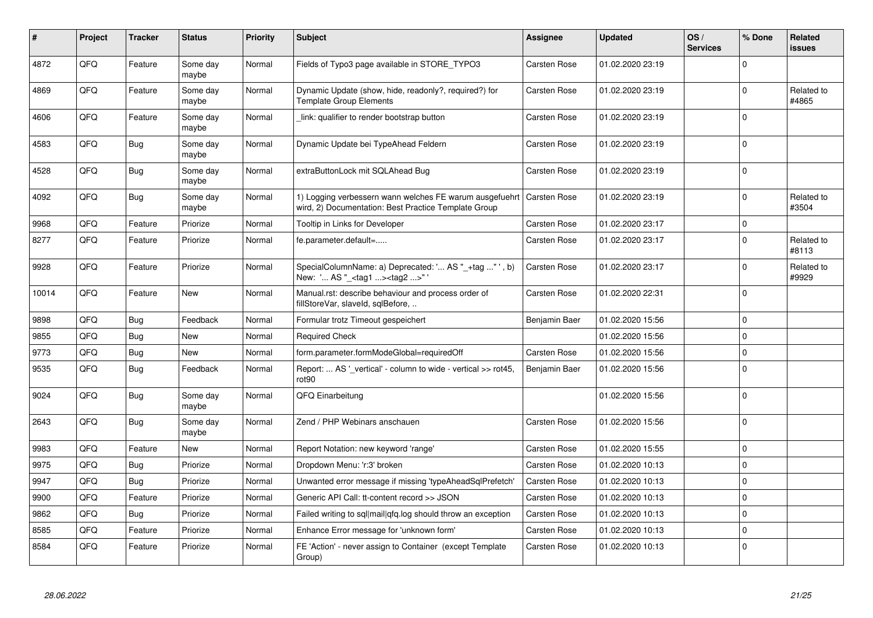| #     | Project | <b>Tracker</b> | <b>Status</b>     | <b>Priority</b> | <b>Subject</b>                                                                                                  | <b>Assignee</b> | <b>Updated</b>   | OS/<br><b>Services</b> | % Done      | Related<br><b>issues</b> |
|-------|---------|----------------|-------------------|-----------------|-----------------------------------------------------------------------------------------------------------------|-----------------|------------------|------------------------|-------------|--------------------------|
| 4872  | QFQ     | Feature        | Some day<br>maybe | Normal          | Fields of Typo3 page available in STORE_TYPO3                                                                   | Carsten Rose    | 01.02.2020 23:19 |                        | $\Omega$    |                          |
| 4869  | QFQ     | Feature        | Some day<br>maybe | Normal          | Dynamic Update (show, hide, readonly?, required?) for<br><b>Template Group Elements</b>                         | Carsten Rose    | 01.02.2020 23:19 |                        | $\Omega$    | Related to<br>#4865      |
| 4606  | QFQ     | Feature        | Some day<br>maybe | Normal          | link: qualifier to render bootstrap button                                                                      | Carsten Rose    | 01.02.2020 23:19 |                        | $\Omega$    |                          |
| 4583  | QFQ     | <b>Bug</b>     | Some day<br>maybe | Normal          | Dynamic Update bei TypeAhead Feldern                                                                            | Carsten Rose    | 01.02.2020 23:19 |                        | $\Omega$    |                          |
| 4528  | QFQ     | <b>Bug</b>     | Some day<br>maybe | Normal          | extraButtonLock mit SQLAhead Bug                                                                                | Carsten Rose    | 01.02.2020 23:19 |                        | $\Omega$    |                          |
| 4092  | QFQ     | <b>Bug</b>     | Some day<br>maybe | Normal          | 1) Logging verbessern wann welches FE warum ausgefuehrt<br>wird, 2) Documentation: Best Practice Template Group | Carsten Rose    | 01.02.2020 23:19 |                        | $\Omega$    | Related to<br>#3504      |
| 9968  | QFQ     | Feature        | Priorize          | Normal          | Tooltip in Links for Developer                                                                                  | Carsten Rose    | 01.02.2020 23:17 |                        | $\Omega$    |                          |
| 8277  | QFQ     | Feature        | Priorize          | Normal          | fe.parameter.default=                                                                                           | Carsten Rose    | 01.02.2020 23:17 |                        | $\Omega$    | Related to<br>#8113      |
| 9928  | QFQ     | Feature        | Priorize          | Normal          | SpecialColumnName: a) Deprecated: ' AS "_+tag " ', b)<br>New: ' AS "_ <tag1><tag2>"</tag2></tag1>               | Carsten Rose    | 01.02.2020 23:17 |                        | $\Omega$    | Related to<br>#9929      |
| 10014 | QFQ     | Feature        | <b>New</b>        | Normal          | Manual.rst: describe behaviour and process order of<br>fillStoreVar, slaveId, sqlBefore,                        | Carsten Rose    | 01.02.2020 22:31 |                        | $\Omega$    |                          |
| 9898  | QFQ     | <b>Bug</b>     | Feedback          | Normal          | Formular trotz Timeout gespeichert                                                                              | Benjamin Baer   | 01.02.2020 15:56 |                        | $\Omega$    |                          |
| 9855  | QFQ     | <b>Bug</b>     | <b>New</b>        | Normal          | <b>Required Check</b>                                                                                           |                 | 01.02.2020 15:56 |                        | $\Omega$    |                          |
| 9773  | QFQ     | <b>Bug</b>     | New               | Normal          | form.parameter.formModeGlobal=requiredOff                                                                       | Carsten Rose    | 01.02.2020 15:56 |                        | $\Omega$    |                          |
| 9535  | QFQ     | <b>Bug</b>     | Feedback          | Normal          | Report:  AS '_vertical' - column to wide - vertical >> rot45,<br>rot90                                          | Benjamin Baer   | 01.02.2020 15:56 |                        | $\Omega$    |                          |
| 9024  | QFQ     | Bug            | Some day<br>maybe | Normal          | QFQ Einarbeitung                                                                                                |                 | 01.02.2020 15:56 |                        | $\Omega$    |                          |
| 2643  | QFQ     | Bug            | Some day<br>maybe | Normal          | Zend / PHP Webinars anschauen                                                                                   | Carsten Rose    | 01.02.2020 15:56 |                        | $\Omega$    |                          |
| 9983  | QFQ     | Feature        | <b>New</b>        | Normal          | Report Notation: new keyword 'range'                                                                            | Carsten Rose    | 01.02.2020 15:55 |                        | $\mathbf 0$ |                          |
| 9975  | QFQ     | <b>Bug</b>     | Priorize          | Normal          | Dropdown Menu: 'r:3' broken                                                                                     | Carsten Rose    | 01.02.2020 10:13 |                        | $\Omega$    |                          |
| 9947  | QFQ     | Bug            | Priorize          | Normal          | Unwanted error message if missing 'typeAheadSqlPrefetch'                                                        | Carsten Rose    | 01.02.2020 10:13 |                        | $\Omega$    |                          |
| 9900  | QFQ     | Feature        | Priorize          | Normal          | Generic API Call: tt-content record >> JSON                                                                     | Carsten Rose    | 01.02.2020 10:13 |                        | $\Omega$    |                          |
| 9862  | QFQ     | Bug            | Priorize          | Normal          | Failed writing to sql mail qfq.log should throw an exception                                                    | Carsten Rose    | 01.02.2020 10:13 |                        | $\Omega$    |                          |
| 8585  | QFQ     | Feature        | Priorize          | Normal          | Enhance Error message for 'unknown form'                                                                        | Carsten Rose    | 01.02.2020 10:13 |                        | $\Omega$    |                          |
| 8584  | QFQ     | Feature        | Priorize          | Normal          | FE 'Action' - never assign to Container (except Template<br>Group)                                              | Carsten Rose    | 01.02.2020 10:13 |                        | $\Omega$    |                          |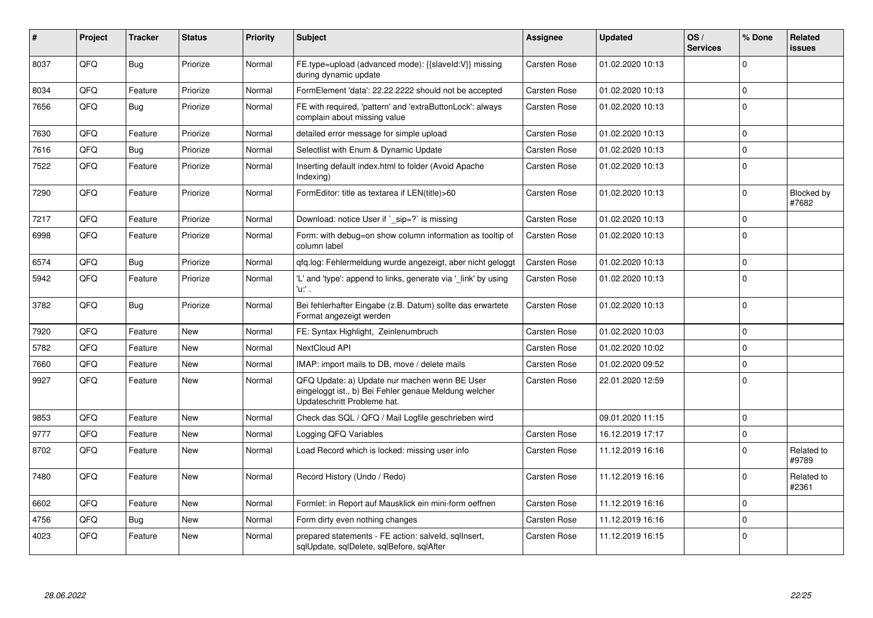| ∦    | Project | <b>Tracker</b> | <b>Status</b> | <b>Priority</b> | <b>Subject</b>                                                                                                                        | Assignee            | <b>Updated</b>   | OS/<br><b>Services</b> | % Done      | Related<br><b>issues</b> |
|------|---------|----------------|---------------|-----------------|---------------------------------------------------------------------------------------------------------------------------------------|---------------------|------------------|------------------------|-------------|--------------------------|
| 8037 | QFQ     | <b>Bug</b>     | Priorize      | Normal          | FE.type=upload (advanced mode): {{slaveld:V}} missing<br>during dynamic update                                                        | <b>Carsten Rose</b> | 01.02.2020 10:13 |                        | $\Omega$    |                          |
| 8034 | QFQ     | Feature        | Priorize      | Normal          | FormElement 'data': 22.22.2222 should not be accepted                                                                                 | <b>Carsten Rose</b> | 01.02.2020 10:13 |                        | $\mathbf 0$ |                          |
| 7656 | QFQ     | Bug            | Priorize      | Normal          | FE with required, 'pattern' and 'extraButtonLock': always<br>complain about missing value                                             | Carsten Rose        | 01.02.2020 10:13 |                        | $\Omega$    |                          |
| 7630 | QFQ     | Feature        | Priorize      | Normal          | detailed error message for simple upload                                                                                              | Carsten Rose        | 01.02.2020 10:13 |                        | $\Omega$    |                          |
| 7616 | QFQ     | <b>Bug</b>     | Priorize      | Normal          | Selectlist with Enum & Dynamic Update                                                                                                 | Carsten Rose        | 01.02.2020 10:13 |                        | $\pmb{0}$   |                          |
| 7522 | QFQ     | Feature        | Priorize      | Normal          | Inserting default index.html to folder (Avoid Apache<br>Indexing)                                                                     | <b>Carsten Rose</b> | 01.02.2020 10:13 |                        | $\mathbf 0$ |                          |
| 7290 | QFQ     | Feature        | Priorize      | Normal          | FormEditor: title as textarea if LEN(title)>60                                                                                        | Carsten Rose        | 01.02.2020 10:13 |                        | $\mathbf 0$ | Blocked by<br>#7682      |
| 7217 | QFQ     | Feature        | Priorize      | Normal          | Download: notice User if `_sip=?` is missing                                                                                          | Carsten Rose        | 01.02.2020 10:13 |                        | $\Omega$    |                          |
| 6998 | QFQ     | Feature        | Priorize      | Normal          | Form: with debug=on show column information as tooltip of<br>column label                                                             | Carsten Rose        | 01.02.2020 10:13 |                        | $\pmb{0}$   |                          |
| 6574 | QFQ     | <b>Bug</b>     | Priorize      | Normal          | gfg.log: Fehlermeldung wurde angezeigt, aber nicht geloggt                                                                            | Carsten Rose        | 01.02.2020 10:13 |                        | $\pmb{0}$   |                          |
| 5942 | QFQ     | Feature        | Priorize      | Normal          | 'L' and 'type': append to links, generate via '_link' by using<br>'u:' .                                                              | Carsten Rose        | 01.02.2020 10:13 |                        | $\mathbf 0$ |                          |
| 3782 | QFQ     | <b>Bug</b>     | Priorize      | Normal          | Bei fehlerhafter Eingabe (z.B. Datum) sollte das erwartete<br>Format angezeigt werden                                                 | Carsten Rose        | 01.02.2020 10:13 |                        | $\Omega$    |                          |
| 7920 | QFQ     | Feature        | <b>New</b>    | Normal          | FE: Syntax Highlight, Zeinlenumbruch                                                                                                  | Carsten Rose        | 01.02.2020 10:03 |                        | $\Omega$    |                          |
| 5782 | QFQ     | Feature        | <b>New</b>    | Normal          | NextCloud API                                                                                                                         | Carsten Rose        | 01.02.2020 10:02 |                        | $\Omega$    |                          |
| 7660 | QFQ     | Feature        | <b>New</b>    | Normal          | IMAP: import mails to DB, move / delete mails                                                                                         | <b>Carsten Rose</b> | 01.02.2020 09:52 |                        | $\Omega$    |                          |
| 9927 | QFQ     | Feature        | <b>New</b>    | Normal          | QFQ Update: a) Update nur machen wenn BE User<br>eingeloggt ist., b) Bei Fehler genaue Meldung welcher<br>Updateschritt Probleme hat. | Carsten Rose        | 22.01.2020 12:59 |                        | $\mathbf 0$ |                          |
| 9853 | QFQ     | Feature        | <b>New</b>    | Normal          | Check das SQL / QFQ / Mail Logfile geschrieben wird                                                                                   |                     | 09.01.2020 11:15 |                        | $\Omega$    |                          |
| 9777 | QFQ     | Feature        | <b>New</b>    | Normal          | Logging QFQ Variables                                                                                                                 | Carsten Rose        | 16.12.2019 17:17 |                        | $\mathbf 0$ |                          |
| 8702 | QFQ     | Feature        | <b>New</b>    | Normal          | Load Record which is locked: missing user info                                                                                        | Carsten Rose        | 11.12.2019 16:16 |                        | $\mathbf 0$ | Related to<br>#9789      |
| 7480 | QFQ     | Feature        | <b>New</b>    | Normal          | Record History (Undo / Redo)                                                                                                          | <b>Carsten Rose</b> | 11.12.2019 16:16 |                        | $\mathbf 0$ | Related to<br>#2361      |
| 6602 | QFQ     | Feature        | <b>New</b>    | Normal          | Formlet: in Report auf Mausklick ein mini-form oeffnen                                                                                | <b>Carsten Rose</b> | 11.12.2019 16:16 |                        | $\Omega$    |                          |
| 4756 | QFQ     | <b>Bug</b>     | <b>New</b>    | Normal          | Form dirty even nothing changes                                                                                                       | <b>Carsten Rose</b> | 11.12.2019 16:16 |                        | $\mathbf 0$ |                          |
| 4023 | QFQ     | Feature        | <b>New</b>    | Normal          | prepared statements - FE action: salveld, sglInsert,<br>sqlUpdate, sqlDelete, sqlBefore, sqlAfter                                     | <b>Carsten Rose</b> | 11.12.2019 16:15 |                        | $\mathbf 0$ |                          |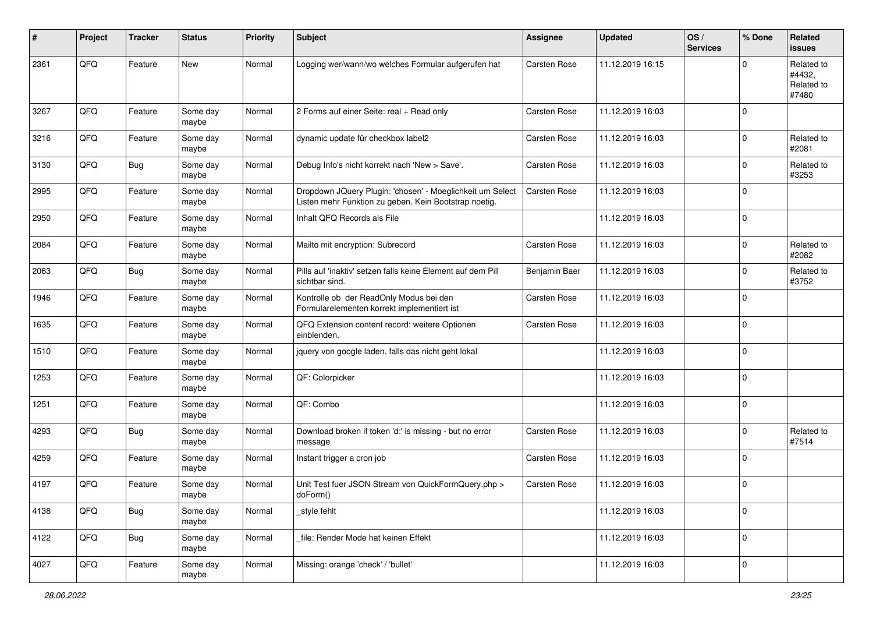| #    | Project | <b>Tracker</b> | <b>Status</b>     | <b>Priority</b> | <b>Subject</b>                                                                                                     | <b>Assignee</b> | <b>Updated</b>   | OS/<br><b>Services</b> | % Done      | Related<br>issues                           |
|------|---------|----------------|-------------------|-----------------|--------------------------------------------------------------------------------------------------------------------|-----------------|------------------|------------------------|-------------|---------------------------------------------|
| 2361 | QFQ     | Feature        | New               | Normal          | Logging wer/wann/wo welches Formular aufgerufen hat                                                                | Carsten Rose    | 11.12.2019 16:15 |                        | 0           | Related to<br>#4432,<br>Related to<br>#7480 |
| 3267 | QFQ     | Feature        | Some day<br>maybe | Normal          | 2 Forms auf einer Seite: real + Read only                                                                          | Carsten Rose    | 11.12.2019 16:03 |                        | $\mathbf 0$ |                                             |
| 3216 | QFQ     | Feature        | Some day<br>maybe | Normal          | dynamic update für checkbox label2                                                                                 | Carsten Rose    | 11.12.2019 16:03 |                        | $\mathbf 0$ | Related to<br>#2081                         |
| 3130 | QFQ     | <b>Bug</b>     | Some day<br>maybe | Normal          | Debug Info's nicht korrekt nach 'New > Save'.                                                                      | Carsten Rose    | 11.12.2019 16:03 |                        | $\mathbf 0$ | Related to<br>#3253                         |
| 2995 | QFQ     | Feature        | Some day<br>maybe | Normal          | Dropdown JQuery Plugin: 'chosen' - Moeglichkeit um Select<br>Listen mehr Funktion zu geben. Kein Bootstrap noetig. | Carsten Rose    | 11.12.2019 16:03 |                        | $\mathbf 0$ |                                             |
| 2950 | QFQ     | Feature        | Some day<br>maybe | Normal          | Inhalt QFQ Records als File                                                                                        |                 | 11.12.2019 16:03 |                        | $\mathbf 0$ |                                             |
| 2084 | QFQ     | Feature        | Some day<br>maybe | Normal          | Mailto mit encryption: Subrecord                                                                                   | Carsten Rose    | 11.12.2019 16:03 |                        | $\mathbf 0$ | Related to<br>#2082                         |
| 2063 | QFQ     | <b>Bug</b>     | Some day<br>maybe | Normal          | Pills auf 'inaktiv' setzen falls keine Element auf dem Pill<br>sichtbar sind.                                      | Benjamin Baer   | 11.12.2019 16:03 |                        | $\mathbf 0$ | Related to<br>#3752                         |
| 1946 | QFQ     | Feature        | Some day<br>maybe | Normal          | Kontrolle ob der ReadOnly Modus bei den<br>Formularelementen korrekt implementiert ist                             | Carsten Rose    | 11.12.2019 16:03 |                        | $\Omega$    |                                             |
| 1635 | QFQ     | Feature        | Some day<br>maybe | Normal          | QFQ Extension content record: weitere Optionen<br>einblenden.                                                      | Carsten Rose    | 11.12.2019 16:03 |                        | $\mathbf 0$ |                                             |
| 1510 | QFQ     | Feature        | Some day<br>maybe | Normal          | jquery von google laden, falls das nicht geht lokal                                                                |                 | 11.12.2019 16:03 |                        | $\mathbf 0$ |                                             |
| 1253 | QFQ     | Feature        | Some day<br>maybe | Normal          | QF: Colorpicker                                                                                                    |                 | 11.12.2019 16:03 |                        | $\mathbf 0$ |                                             |
| 1251 | QFQ     | Feature        | Some day<br>maybe | Normal          | QF: Combo                                                                                                          |                 | 11.12.2019 16:03 |                        | $\mathbf 0$ |                                             |
| 4293 | QFQ     | <b>Bug</b>     | Some day<br>maybe | Normal          | Download broken if token 'd:' is missing - but no error<br>message                                                 | Carsten Rose    | 11.12.2019 16:03 |                        | $\mathbf 0$ | Related to<br>#7514                         |
| 4259 | QFQ     | Feature        | Some day<br>maybe | Normal          | Instant trigger a cron job                                                                                         | Carsten Rose    | 11.12.2019 16:03 |                        | $\mathbf 0$ |                                             |
| 4197 | QFQ     | Feature        | Some day<br>maybe | Normal          | Unit Test fuer JSON Stream von QuickFormQuery.php ><br>doForm()                                                    | Carsten Rose    | 11.12.2019 16:03 |                        | $\mathbf 0$ |                                             |
| 4138 | QFQ     | Bug            | Some day<br>maybe | Normal          | style fehlt                                                                                                        |                 | 11.12.2019 16:03 |                        | $\mathbf 0$ |                                             |
| 4122 | QFQ     | <b>Bug</b>     | Some day<br>maybe | Normal          | file: Render Mode hat keinen Effekt                                                                                |                 | 11.12.2019 16:03 |                        | $\pmb{0}$   |                                             |
| 4027 | QFQ     | Feature        | Some day<br>maybe | Normal          | Missing: orange 'check' / 'bullet'                                                                                 |                 | 11.12.2019 16:03 |                        | $\pmb{0}$   |                                             |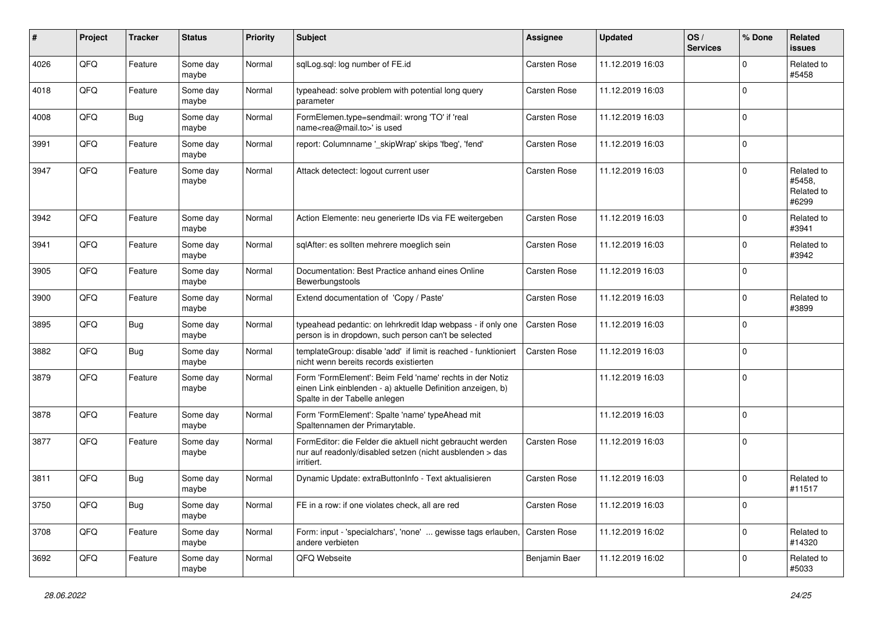| #    | Project | <b>Tracker</b> | <b>Status</b>     | <b>Priority</b> | <b>Subject</b>                                                                                                                                           | <b>Assignee</b> | <b>Updated</b>   | OS/<br><b>Services</b> | % Done      | <b>Related</b><br>issues                    |
|------|---------|----------------|-------------------|-----------------|----------------------------------------------------------------------------------------------------------------------------------------------------------|-----------------|------------------|------------------------|-------------|---------------------------------------------|
| 4026 | QFQ     | Feature        | Some day<br>maybe | Normal          | sqlLog.sql: log number of FE.id                                                                                                                          | Carsten Rose    | 11.12.2019 16:03 |                        | $\mathbf 0$ | Related to<br>#5458                         |
| 4018 | QFQ     | Feature        | Some day<br>maybe | Normal          | typeahead: solve problem with potential long query<br>parameter                                                                                          | Carsten Rose    | 11.12.2019 16:03 |                        | $\mathbf 0$ |                                             |
| 4008 | QFQ     | <b>Bug</b>     | Some day<br>maybe | Normal          | FormElemen.type=sendmail: wrong 'TO' if 'real<br>name <rea@mail.to>' is used</rea@mail.to>                                                               | Carsten Rose    | 11.12.2019 16:03 |                        | $\mathbf 0$ |                                             |
| 3991 | QFQ     | Feature        | Some day<br>maybe | Normal          | report: Columnname '_skipWrap' skips 'fbeg', 'fend'                                                                                                      | Carsten Rose    | 11.12.2019 16:03 |                        | $\mathbf 0$ |                                             |
| 3947 | QFQ     | Feature        | Some day<br>maybe | Normal          | Attack detectect: logout current user                                                                                                                    | Carsten Rose    | 11.12.2019 16:03 |                        | $\mathbf 0$ | Related to<br>#5458.<br>Related to<br>#6299 |
| 3942 | QFQ     | Feature        | Some day<br>maybe | Normal          | Action Elemente: neu generierte IDs via FE weitergeben                                                                                                   | Carsten Rose    | 11.12.2019 16:03 |                        | $\mathbf 0$ | Related to<br>#3941                         |
| 3941 | QFQ     | Feature        | Some day<br>maybe | Normal          | sqlAfter: es sollten mehrere moeglich sein                                                                                                               | Carsten Rose    | 11.12.2019 16:03 |                        | $\mathbf 0$ | Related to<br>#3942                         |
| 3905 | QFQ     | Feature        | Some day<br>maybe | Normal          | Documentation: Best Practice anhand eines Online<br>Bewerbungstools                                                                                      | Carsten Rose    | 11.12.2019 16:03 |                        | $\mathbf 0$ |                                             |
| 3900 | QFQ     | Feature        | Some day<br>maybe | Normal          | Extend documentation of 'Copy / Paste'                                                                                                                   | Carsten Rose    | 11.12.2019 16:03 |                        | $\mathbf 0$ | Related to<br>#3899                         |
| 3895 | QFQ     | <b>Bug</b>     | Some day<br>maybe | Normal          | typeahead pedantic: on lehrkredit Idap webpass - if only one<br>person is in dropdown, such person can't be selected                                     | Carsten Rose    | 11.12.2019 16:03 |                        | $\mathbf 0$ |                                             |
| 3882 | QFQ     | <b>Bug</b>     | Some day<br>maybe | Normal          | templateGroup: disable 'add' if limit is reached - funktioniert<br>nicht wenn bereits records existierten                                                | Carsten Rose    | 11.12.2019 16:03 |                        | $\pmb{0}$   |                                             |
| 3879 | QFQ     | Feature        | Some day<br>maybe | Normal          | Form 'FormElement': Beim Feld 'name' rechts in der Notiz<br>einen Link einblenden - a) aktuelle Definition anzeigen, b)<br>Spalte in der Tabelle anlegen |                 | 11.12.2019 16:03 |                        | $\mathbf 0$ |                                             |
| 3878 | QFQ     | Feature        | Some day<br>maybe | Normal          | Form 'FormElement': Spalte 'name' typeAhead mit<br>Spaltennamen der Primarytable.                                                                        |                 | 11.12.2019 16:03 |                        | $\mathbf 0$ |                                             |
| 3877 | QFQ     | Feature        | Some day<br>maybe | Normal          | FormEditor: die Felder die aktuell nicht gebraucht werden<br>nur auf readonly/disabled setzen (nicht ausblenden > das<br>irritiert.                      | Carsten Rose    | 11.12.2019 16:03 |                        | 0           |                                             |
| 3811 | QFQ     | <b>Bug</b>     | Some day<br>maybe | Normal          | Dynamic Update: extraButtonInfo - Text aktualisieren                                                                                                     | Carsten Rose    | 11.12.2019 16:03 |                        | $\Omega$    | Related to<br>#11517                        |
| 3750 | QFG     | <b>Bug</b>     | Some day<br>maybe | Normal          | FE in a row: if one violates check, all are red                                                                                                          | Carsten Rose    | 11.12.2019 16:03 |                        | $\pmb{0}$   |                                             |
| 3708 | QFO     | Feature        | Some day<br>maybe | Normal          | Form: input - 'specialchars', 'none'  gewisse tags erlauben,<br>andere verbieten                                                                         | Carsten Rose    | 11.12.2019 16:02 |                        | $\pmb{0}$   | Related to<br>#14320                        |
| 3692 | QFQ     | Feature        | Some day<br>maybe | Normal          | QFQ Webseite                                                                                                                                             | Benjamin Baer   | 11.12.2019 16:02 |                        | $\pmb{0}$   | Related to<br>#5033                         |